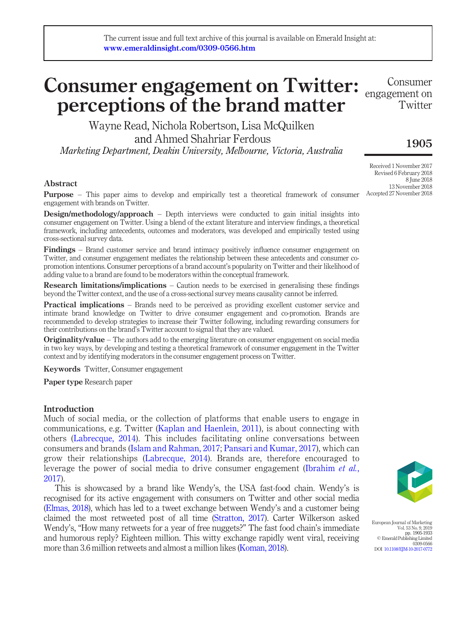# Consumer engagement on Twitter: Consumer perceptions of the brand matter engagement on

Wayne Read, Nichola Robertson, Lisa McQuilken and Ahmed Shahriar Ferdous Marketing Department, Deakin University, Melbourne, Victoria, Australia

## Abstract

**Purpose** – This paper aims to develop and empirically test a theoretical framework of consumer engagement with brands on Twitter.

**Design/methodology/approach** – Depth interviews were conducted to gain initial insights into consumer engagement on Twitter. Using a blend of the extant literature and interview findings, a theoretical framework, including antecedents, outcomes and moderators, was developed and empirically tested using cross-sectional survey data.

Findings – Brand customer service and brand intimacy positively influence consumer engagement on Twitter, and consumer engagement mediates the relationship between these antecedents and consumer copromotion intentions. Consumer perceptions of a brand account's popularity on Twitter and their likelihood of adding value to a brand are found to be moderators within the conceptual framework.

**Research limitations/implications** – Caution needs to be exercised in generalising these findings beyond the Twitter context, and the use of a cross-sectional survey means causality cannot be inferred.

**Practical implications** – Brands need to be perceived as providing excellent customer service and intimate brand knowledge on Twitter to drive consumer engagement and co-promotion. Brands are recommended to develop strategies to increase their Twitter following, including rewarding consumers for their contributions on the brand's Twitter account to signal that they are valued.

**Originality/value** – The authors add to the emerging literature on consumer engagement on social media in two key ways, by developing and testing a theoretical framework of consumer engagement in the Twitter context and by identifying moderators in the consumer engagement process on Twitter.

Keywords Twitter, Consumer engagement

Paper type Research paper

## Introduction

Much of social media, or the collection of platforms that enable users to engage in communications, e.g. Twitter ([Kaplan and Haenlein, 2011\)](#page-26-0), is about connecting with others ([Labrecque, 2014\)](#page-26-1). This includes facilitating online conversations between consumers and brands ([Islam and Rahman, 2017](#page-25-0); [Pansari and Kumar, 2017\)](#page-27-0), which can grow their relationships ([Labrecque, 2014](#page-26-1)). Brands are, therefore encouraged to leverage the power of social media to drive consumer engagement [\(Ibrahim](#page-25-1) et al., [2017\)](#page-25-1).

This is showcased by a brand like Wendy's, the USA fast-food chain. Wendy's is recognised for its active engagement with consumers on Twitter and other social media [\(Elmas, 2018\)](#page-24-0), which has led to a tweet exchange between Wendy's and a customer being claimed the most retweeted post of all time [\(Stratton, 2017\)](#page-28-0). Carter Wilkerson asked Wendy's, "How many retweets for a year of free nuggets?" The fast food chain's immediate and humorous reply? Eighteen million. This witty exchange rapidly went viral, receiving more than 3.6 million retweets and almost a million likes [\(Koman, 2018](#page-26-2)).



European Journal of Marketing Vol. 53 No. 9, 2019 pp. 1905-1933 © Emerald Publishing Limited 0309-0566 DOI [10.1108/EJM-10-2017-0772](http://dx.doi.org/10.1108/EJM-10-2017-0772)

1905 Received 1 November 2017

Twitter

Revised 6 February 2018 8 June 2018 13 November 2018 Accepted 27 November 2018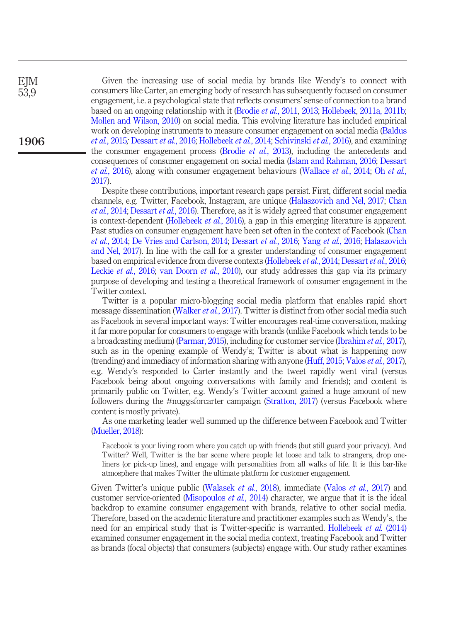EJM 53,9

1906

Given the increasing use of social media by brands like Wendy's to connect with consumers like Carter, an emerging body of research has subsequently focused on consumer engagement, i.e. a psychological state that reflects consumers' sense of connection to a brand based on an ongoing relationship with it ([Brodie](#page-23-0) et al., 2011, [2013;](#page-23-1) [Hollebeek,](#page-25-2) [2011a, 2011b;](#page-25-3) [Mollen and Wilson, 2010](#page-26-3)) on social media. This evolving literature has included empirical work on developing instruments to measure consumer engagement on social media ([Baldus](#page-23-2) et al.[, 2015](#page-23-2); [Dessart](#page-24-1) et al., 2016; [Hollebeek](#page-25-4) et al., 2014; [Schivinski](#page-27-1) et al., 2016), and examining the consumer engagement process [\(Brodie](#page-23-1) et al., 2013), including the antecedents and consequences of consumer engagement on social media ([Islam and Rahman, 2016](#page-25-5); [Dessart](#page-24-1) et al.[, 2016\)](#page-24-1), along with consumer engagement behaviours [\(Wallace](#page-28-1) et al., 2014; Oh [et al.](#page-27-2), [2017](#page-27-2)).

Despite these contributions, important research gaps persist. First, different social media channels, e.g. Twitter, Facebook, Instagram, are unique ([Halaszovich and Nel, 2017](#page-25-6); [Chan](#page-23-3) et al.[, 2014;](#page-23-3) [Dessart](#page-24-1) et al., 2016). Therefore, as it is widely agreed that consumer engagement is context-dependent ([Hollebeek](#page-25-7) *et al.*, 2016), a gap in this emerging literature is apparent. Past studies on consumer engagement have been set often in the context of Facebook [\(Chan](#page-23-3) et al.[, 2014](#page-23-3); [De Vries and Carlson, 2014](#page-24-2); [Dessart](#page-24-1) et al., 2016; Yang et al.[, 2016](#page-28-2); [Halaszovich](#page-25-6) [and Nel, 2017](#page-25-6)). In line with the call for a greater understanding of consumer engagement based on empirical evidence from diverse contexts [\(Hollebeek](#page-25-4) et al., 2014; [Dessart](#page-24-1) et al., 2016; [Leckie](#page-26-4) *et al.*, 2016; [van Doorn](#page-28-3) *et al.*, 2010), our study addresses this gap via its primary purpose of developing and testing a theoretical framework of consumer engagement in the Twitter context.

Twitter is a popular micro-blogging social media platform that enables rapid short message dissemination ([Walker](#page-28-4) *et al.*, 2017). Twitter is distinct from other social media such as Facebook in several important ways: Twitter encourages real-time conversation, making it far more popular for consumers to engage with brands (unlike Facebook which tends to be a broadcasting medium) [\(Parmar, 2015](#page-27-3)), including for customer service ([Ibrahim](#page-25-1) et al., 2017), such as in the opening example of Wendy's; Twitter is about what is happening now (trending) and immediacy of information sharing with anyone [\(Huff, 2015;](#page-25-8) Valos et al.[, 2017\)](#page-28-5), e.g. Wendy's responded to Carter instantly and the tweet rapidly went viral (versus Facebook being about ongoing conversations with family and friends); and content is primarily public on Twitter, e.g. Wendy's Twitter account gained a huge amount of new followers during the #nuggsforcarter campaign [\(Stratton, 2017](#page-28-0)) (versus Facebook where content is mostly private).

As one marketing leader well summed up the difference between Facebook and Twitter [\(Mueller, 2018\)](#page-27-4):

Facebook is your living room where you catch up with friends (but still guard your privacy). And Twitter? Well, Twitter is the bar scene where people let loose and talk to strangers, drop oneliners (or pick-up lines), and engage with personalities from all walks of life. It is this bar-like atmosphere that makes Twitter the ultimate platform for customer engagement.

Given Twitter's unique public [\(Walasek](#page-28-6) *et al.*, 2018), immediate (Valos *et al.*[, 2017\)](#page-28-5) and customer service-oriented ([Misopoulos](#page-26-5)  $et$   $al$ , 2014) character, we argue that it is the ideal backdrop to examine consumer engagement with brands, relative to other social media. Therefore, based on the academic literature and practitioner examples such as Wendy's, the need for an empirical study that is Twitter-specific is warranted. [Hollebeek](#page-25-4) et al. (2014) examined consumer engagement in the social media context, treating Facebook and Twitter as brands (focal objects) that consumers (subjects) engage with. Our study rather examines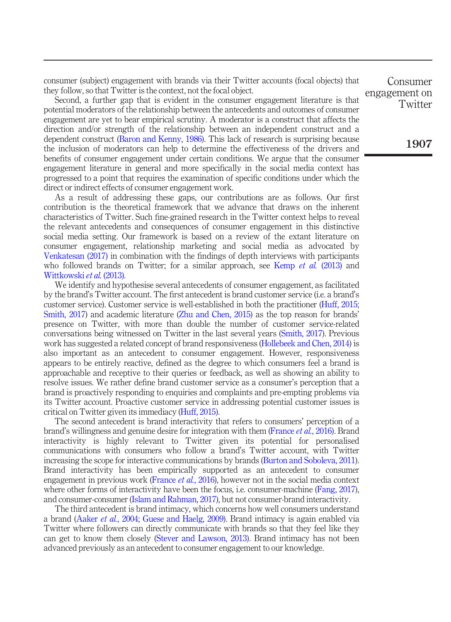consumer (subject) engagement with brands via their Twitter accounts (focal objects) that they follow, so that Twitter is the context, not the focal object.

Second, a further gap that is evident in the consumer engagement literature is that potential moderators of the relationship between the antecedents and outcomes of consumer engagement are yet to bear empirical scrutiny. A moderator is a construct that affects the direction and/or strength of the relationship between an independent construct and a dependent construct [\(Baron and Kenny, 1986\)](#page-23-4). This lack of research is surprising because the inclusion of moderators can help to determine the effectiveness of the drivers and benefits of consumer engagement under certain conditions. We argue that the consumer engagement literature in general and more specifically in the social media context has progressed to a point that requires the examination of specific conditions under which the direct or indirect effects of consumer engagement work.

As a result of addressing these gaps, our contributions are as follows. Our first contribution is the theoretical framework that we advance that draws on the inherent characteristics of Twitter. Such fine-grained research in the Twitter context helps to reveal the relevant antecedents and consequences of consumer engagement in this distinctive social media setting. Our framework is based on a review of the extant literature on consumer engagement, relationship marketing and social media as advocated by [Venkatesan \(2017\)](#page-28-7) in combination with the findings of depth interviews with participants who followed brands on Twitter; for a similar approach, see [Kemp](#page-26-6) et al. (2013) and [Wittkowski](#page-28-8) et al. (2013).

We identify and hypothesise several antecedents of consumer engagement, as facilitated by the brand's Twitter account. The first antecedent is brand customer service (i.e. a brand's customer service). Customer service is well-established in both the practitioner ([Huff, 2015](#page-25-8); [Smith, 2017](#page-27-5)) and academic literature ([Zhu and Chen, 2015\)](#page-28-9) as the top reason for brands' presence on Twitter, with more than double the number of customer service-related conversations being witnessed on Twitter in the last several years ([Smith, 2017\)](#page-27-5). Previous work has suggested a related concept of brand responsiveness [\(Hollebeek and Chen, 2014](#page-25-9)) is also important as an antecedent to consumer engagement. However, responsiveness appears to be entirely reactive, defined as the degree to which consumers feel a brand is approachable and receptive to their queries or feedback, as well as showing an ability to resolve issues. We rather define brand customer service as a consumer's perception that a brand is proactively responding to enquiries and complaints and pre-empting problems via its Twitter account. Proactive customer service in addressing potential customer issues is critical on Twitter given its immediacy ([Huff, 2015](#page-25-8)).

The second antecedent is brand interactivity that refers to consumers' perception of a brand's willingness and genuine desire for integration with them [\(France](#page-24-3) et al., 2016). Brand interactivity is highly relevant to Twitter given its potential for personalised communications with consumers who follow a brand's Twitter account, with Twitter increasing the scope for interactive communications by brands [\(Burton and Soboleva, 2011\)](#page-23-5). Brand interactivity has been empirically supported as an antecedent to consumer engagement in previous work [\(France](#page-24-3) *et al.*, 2016), however not in the social media context where other forms of interactivity have been the focus, i.e. consumer-machine [\(Fang, 2017\)](#page-24-4), and consumer-consumer [\(Islam and Rahman, 2017\)](#page-25-0), but not consumer-brand interactivity.

The third antecedent is brand intimacy, which concerns how well consumers understand a brand ([Aaker](#page-23-6) et al., 2004; [Guese and Haelg, 2009\)](#page-24-5). Brand intimacy is again enabled via Twitter where followers can directly communicate with brands so that they feel like they can get to know them closely [\(Stever and Lawson, 2013](#page-27-6)). Brand intimacy has not been advanced previously as an antecedent to consumer engagement to our knowledge.

Consumer engagement on **Twitter** 

1907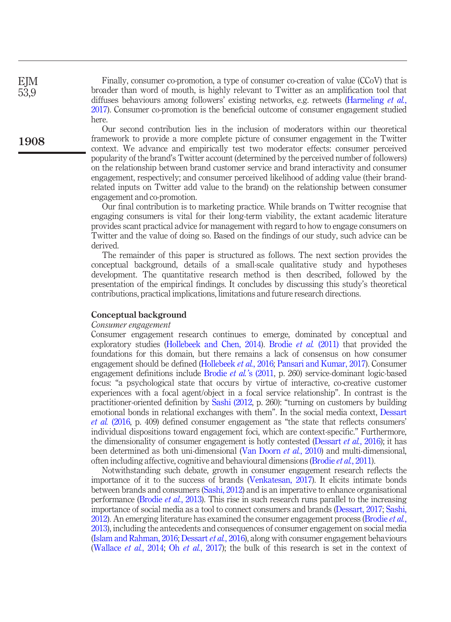Finally, consumer co-promotion, a type of consumer co-creation of value (CCoV) that is broader than word of mouth, is highly relevant to Twitter as an amplification tool that diffuses behaviours among followers' existing networks, e.g. retweets [\(Harmeling](#page-25-10) et al., [2017](#page-25-10)). Consumer co-promotion is the beneficial outcome of consumer engagement studied here.

Our second contribution lies in the inclusion of moderators within our theoretical framework to provide a more complete picture of consumer engagement in the Twitter context. We advance and empirically test two moderator effects: consumer perceived popularity of the brand's Twitter account (determined by the perceived number of followers) on the relationship between brand customer service and brand interactivity and consumer engagement, respectively; and consumer perceived likelihood of adding value (their brandrelated inputs on Twitter add value to the brand) on the relationship between consumer engagement and co-promotion.

Our final contribution is to marketing practice. While brands on Twitter recognise that engaging consumers is vital for their long-term viability, the extant academic literature provides scant practical advice for management with regard to how to engage consumers on Twitter and the value of doing so. Based on the findings of our study, such advice can be derived.

The remainder of this paper is structured as follows. The next section provides the conceptual background, details of a small-scale qualitative study and hypotheses development. The quantitative research method is then described, followed by the presentation of the empirical findings. It concludes by discussing this study's theoretical contributions, practical implications, limitations and future research directions.

## Conceptual background

#### Consumer engagement

Consumer engagement research continues to emerge, dominated by conceptual and exploratory studies [\(Hollebeek and Chen, 2014\)](#page-25-9). [Brodie](#page-23-0)  $et$  al. (2011) that provided the foundations for this domain, but there remains a lack of consensus on how consumer engagement should be defined [\(Hollebeek](#page-25-7) et al., 2016; [Pansari and Kumar, 2017\)](#page-27-0). Consumer engagement definitions include Brodie et al.'[s \(2011,](#page-23-0) p. 260) service-dominant logic-based focus: "a psychological state that occurs by virtue of interactive, co-creative customer experiences with a focal agent/object in a focal service relationship". In contrast is the practitioner-oriented definition by [Sashi \(2012,](#page-27-7) p. 260): "turning on customers by building emotional bonds in relational exchanges with them". In the social media context, [Dessart](#page-24-1) et al. [\(2016](#page-24-1), p. 409) defined consumer engagement as "the state that reflects consumers' individual dispositions toward engagement foci, which are context-specific." Furthermore, the dimensionality of consumer engagement is hotly contested [\(Dessart](#page-24-1) *et al.*, 2016); it has been determined as both uni-dimensional ([Van Doorn](#page-28-3) et al., 2010) and multi-dimensional, often including affective, cognitive and behavioural dimensions [\(Brodie](#page-23-0) et al., 2011).

Notwithstanding such debate, growth in consumer engagement research reflects the importance of it to the success of brands [\(Venkatesan, 2017](#page-28-7)). It elicits intimate bonds between brands and consumers [\(Sashi, 2012](#page-27-7)) and is an imperative to enhance organisational performance ([Brodie](#page-23-1) et al., 2013). This rise in such research runs parallel to the increasing importance of social media as a tool to connect consumers and brands ([Dessart, 2017](#page-24-6); [Sashi,](#page-27-7) [2012](#page-27-7)). An emerging literature has examined the consumer engagement process [\(Brodie](#page-23-1) *et al.*, [2013](#page-23-1)), including the antecedents and consequences of consumer engagement on social media [\(Islam and Rahman, 2016;](#page-25-5) [Dessart](#page-24-1) et al., 2016), along with consumer engagement behaviours [\(Wallace](#page-28-1) et al., 2014; Oh et al.[, 2017](#page-27-2)); the bulk of this research is set in the context of

EJM 53,9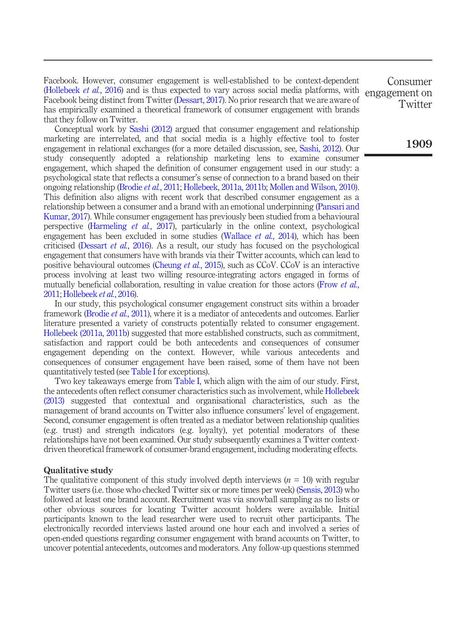Facebook. However, consumer engagement is well-established to be context-dependent [\(Hollebeek](#page-25-7) et al., 2016) and is thus expected to vary across social media platforms, with Facebook being distinct from Twitter [\(Dessart, 2017](#page-24-6)). No prior research that we are aware of has empirically examined a theoretical framework of consumer engagement with brands that they follow on Twitter.

Conceptual work by [Sashi \(2012\)](#page-27-7) argued that consumer engagement and relationship marketing are interrelated, and that social media is a highly effective tool to foster engagement in relational exchanges (for a more detailed discussion, see, [Sashi, 2012](#page-27-7)). Our study consequently adopted a relationship marketing lens to examine consumer engagement, which shaped the definition of consumer engagement used in our study: a psychological state that reflects a consumer's sense of connection to a brand based on their ongoing relationship ([Brodie](#page-23-0) et al., 2011; [Hollebeek](#page-25-2), [2011a, 2011b](#page-25-3); [Mollen and Wilson, 2010\)](#page-26-3). This definition also aligns with recent work that described consumer engagement as a relationship between a consumer and a brand with an emotional underpinning ([Pansari and](#page-27-0) [Kumar, 2017](#page-27-0)). While consumer engagement has previously been studied from a behavioural perspective ([Harmeling](#page-25-10) et al., 2017), particularly in the online context, psychological engagement has been excluded in some studies [\(Wallace](#page-28-1) *et al.*, 2014), which has been criticised [\(Dessart](#page-24-1) *et al.*, 2016). As a result, our study has focused on the psychological engagement that consumers have with brands via their Twitter accounts, which can lead to positive behavioural outcomes ([Cheung](#page-23-7) *et al.*, 2015), such as CCoV. CCoV is an interactive process involving at least two willing resource-integrating actors engaged in forms of mutually beneficial collaboration, resulting in value creation for those actors ([Frow](#page-24-7) *et al.*, [2011;](#page-24-7) [Hollebeek](#page-25-7) et al., 2016).

In our study, this psychological consumer engagement construct sits within a broader framework [\(Brodie](#page-23-0) et al., 2011), where it is a mediator of antecedents and outcomes. Earlier literature presented a variety of constructs potentially related to consumer engagement. [Hollebeek \(2011a](#page-25-2), [2011b](#page-25-3)) suggested that more established constructs, such as commitment, satisfaction and rapport could be both antecedents and consequences of consumer engagement depending on the context. However, while various antecedents and consequences of consumer engagement have been raised, some of them have not been quantitatively tested (see [Table I](#page-5-0) for exceptions).

Two key takeaways emerge from [Table I](#page-5-0), which align with the aim of our study. First, the antecedents often reflect consumer characteristics such as involvement, while [Hollebeek](#page-25-11) [\(2013\)](#page-25-11) suggested that contextual and organisational characteristics, such as the management of brand accounts on Twitter also influence consumers' level of engagement. Second, consumer engagement is often treated as a mediator between relationship qualities (e.g. trust) and strength indicators (e.g. loyalty), yet potential moderators of these relationships have not been examined. Our study subsequently examines a Twitter contextdriven theoretical framework of consumer-brand engagement, including moderating effects.

#### Qualitative study

The qualitative component of this study involved depth interviews  $(n = 10)$  with regular Twitter users (i.e. those who checked Twitter six or more times per week) ([Sensis, 2013](#page-27-8)) who followed at least one brand account. Recruitment was via snowball sampling as no lists or other obvious sources for locating Twitter account holders were available. Initial participants known to the lead researcher were used to recruit other participants. The electronically recorded interviews lasted around one hour each and involved a series of open-ended questions regarding consumer engagement with brand accounts on Twitter, to uncover potential antecedents, outcomes and moderators. Any follow-up questions stemmed

Consumer engagement on **Twitter** 

1909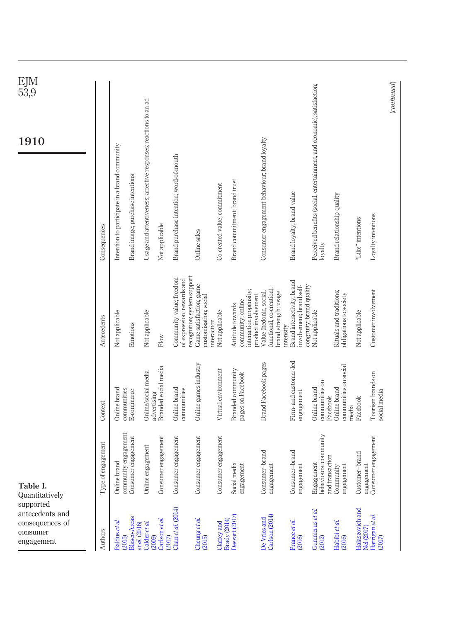<span id="page-5-0"></span>

| supported<br>antecedents and<br>consequences of<br>consumer<br>engagement | Table I.<br>Quantitatively                             |                                            |                                                                                                      | $\frac{\rm EJM}{53,9}$<br>1910                                                     |
|---------------------------------------------------------------------------|--------------------------------------------------------|--------------------------------------------|------------------------------------------------------------------------------------------------------|------------------------------------------------------------------------------------|
| Authors                                                                   | Type of engagement                                     | Context                                    | Antecedents                                                                                          | Consequences                                                                       |
| Baldus et al.                                                             | Online brand                                           | Online brand                               | Not applicable                                                                                       | Intention to participate in a brand community                                      |
| Blasco-Arcas<br>(2015)                                                    | community engagement<br>Consumer engagement            | communities<br>E-commerce                  | Emotions                                                                                             | Brand image; purchase intentions                                                   |
| et al. (2016)<br>Calder et al.<br>(2009)                                  | engagement<br>Online                                   | Online/social media<br>advertising         | Not applicable                                                                                       | Usage and attentiveness; affective responses; reactions to an ad                   |
| Carlson et al.<br>(2017)                                                  | Consumer engagement                                    | Branded social media                       | Flow                                                                                                 | Not applicable                                                                     |
| Chan et al. (2014)                                                        | ner engagement<br>Consun                               | Online brand<br>communities                | Community value; freedom<br>of expression; rewards and                                               | Brand purchase intention; word-of-mouth                                            |
| Cheung et al.<br>(2015)                                                   | Consumer engagement                                    | Online games industry                      | recognition; system support<br>Game satisfaction; game<br>customisation; social                      | Online sales                                                                       |
| Brady (2014)<br>Claffey and                                               | Consumer engagement                                    | Virtual environment                        | Not applicable<br>interaction                                                                        | Co-created value; commitment                                                       |
| Dessart (2017)                                                            | Social media<br>engagement                             | Branded community<br>pages on Facebook     | interaction propensity;<br>community; online<br>Attitude towards                                     | Brand commitment; brand trust                                                      |
| Carlson (2014)<br>De Vries and                                            | Consumer-brand<br>engagement                           | Brand Facebook pages                       | functional, co-creation);<br>Value (hedonic, social,<br>brand strength; usage<br>product involvement | Consumer engagement behaviour, brand loyalty                                       |
| France et al.<br>(2016)                                                   | Consumer-brand<br>engagement                           | Firm- and customer-led<br>engagement       | Brand interactivity; brand<br>involvement; brand self-<br>intensity                                  | Brand loyalty; brand value                                                         |
| Gummerus et al.<br>(2012)                                                 | behaviours: community<br>and transaction<br>Engagement | communities on<br>Online brand<br>Facebook | congruity; brand quality<br>Not applicable                                                           | Perceived benefits (social, entertainment, and economic); satisfaction;<br>loyalty |
| Habibi et al.<br>(2016)                                                   | engagement<br>Community                                | communities on social<br>Online brand      | Rituals and traditions;<br>obligations to society                                                    | Brand relationship quality                                                         |
| Halaszovich and<br>Nel (2017)                                             | Customer-brand                                         | Facebook<br>media                          | Not applicable                                                                                       | "Like" intentions                                                                  |
| Harrigan et al.<br>(2017)                                                 | engagement<br>Consumer engagement                      | Tourism brands on<br>social media          | Customer involvement                                                                                 | Loyalty intentions                                                                 |
|                                                                           |                                                        |                                            |                                                                                                      | (continued)                                                                        |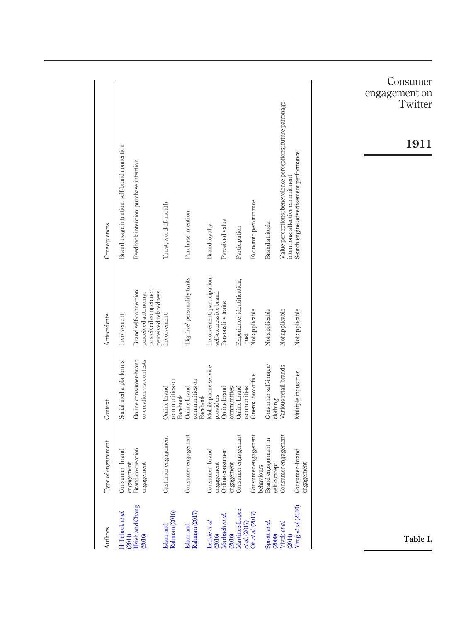| Authors                        | Type of engagement                            | Context                                           | Antecedents                                                            | Consequences                                                                                     |
|--------------------------------|-----------------------------------------------|---------------------------------------------------|------------------------------------------------------------------------|--------------------------------------------------------------------------------------------------|
| Hollebeek et al.<br>(2014)     | Consumer-brand                                | Social media platforms                            | Involvement                                                            | Brand usage intention; self-brand connection                                                     |
| Hsieh and Chang<br>(2016)      | Brand co-creation<br>engagement<br>engagement | Online consumer-brand<br>co-creation via contests | Brand self-connection;<br>perceived competence;<br>perceived autonomy; | Feedback intention; purchase intention                                                           |
| Rahman (2016)<br>Islam and     | Customer engagement                           | communities on<br>Online brand                    | perceived relatedness<br>Involvement                                   | Trust; word-of-mouth                                                                             |
| Rahman (2017)<br>Islam and     | Consumer engagement                           | communities on<br>Online brand<br>Facebook        | Big five' personality traits                                           | Purchase intention                                                                               |
| Leckie et al.<br>(2016)        | Consumer-brand                                | Mobile phone service<br>Facebook                  | Involvement; participation;                                            | Brand loyalty                                                                                    |
| Marbach et al.<br>(2016)       | Online consumer<br>engagement                 | Online brand<br>providers                         | self-expressive brand<br>Personality traits                            | Perceived value                                                                                  |
| Martinez-Lopez<br>$eta$ (2017) | Consumer engagement<br>engagement             | Online brand<br>communities                       | Experience; identification;                                            | Participation                                                                                    |
| Ohet al. $(2017)$              | Consumer engagement<br>behaviours             | Cinema box office<br>communities                  | Not applicable<br>trust                                                | Economic performance                                                                             |
| Sprott et al.<br>(2009)        | Brand engagement in<br>self-concept           | Consumer self-image<br>clothing                   | Not applicable                                                         | Brand attitude                                                                                   |
| Vivek et al.<br>(2014)         | Consumer engagement                           | Various retail brands                             | Not applicable                                                         | Value perceptions; benevolence perceptions; future patronage<br>intentions; affective commitment |
| Yang et al. (2016)             | Consumer-brand<br>engagement                  | Multiple industries                               | Not applicable                                                         | Search engine advertisement performance                                                          |
|                                |                                               |                                                   |                                                                        |                                                                                                  |
|                                |                                               |                                                   |                                                                        |                                                                                                  |
|                                |                                               |                                                   |                                                                        |                                                                                                  |
| Table I.                       |                                               |                                                   |                                                                        | Consumer<br>engagement<br>on<br>Twitter<br>1911                                                  |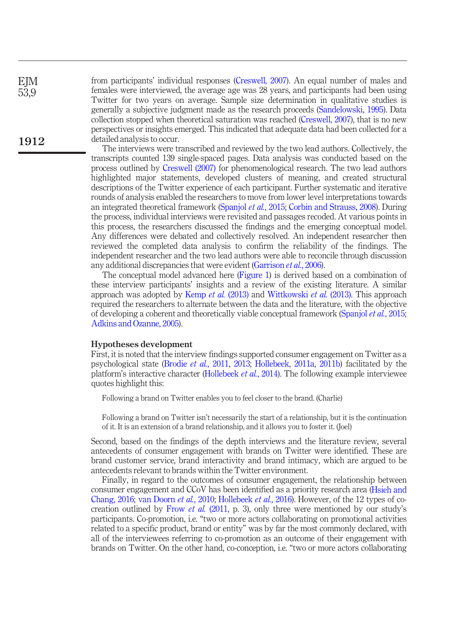EJM 53,9

1912

from participants' individual responses [\(Creswell, 2007](#page-24-8)). An equal number of males and females were interviewed, the average age was 28 years, and participants had been using Twitter for two years on average. Sample size determination in qualitative studies is generally a subjective judgment made as the research proceeds ([Sandelowski, 1995](#page-27-10)). Data collection stopped when theoretical saturation was reached [\(Creswell, 2007\)](#page-24-8), that is no new perspectives or insights emerged. This indicated that adequate data had been collected for a detailed analysis to occur.

The interviews were transcribed and reviewed by the two lead authors. Collectively, the transcripts counted 139 single-spaced pages. Data analysis was conducted based on the process outlined by [Creswell \(2007\)](#page-24-8) for phenomenological research. The two lead authors highlighted major statements, developed clusters of meaning, and created structural descriptions of the Twitter experience of each participant. Further systematic and iterative rounds of analysis enabled the researchers to move from lower level interpretations towards an integrated theoretical framework [\(Spanjol](#page-27-11) et al., 2015; [Corbin and Strauss, 2008](#page-24-9)). During the process, individual interviews were revisited and passages recoded. At various points in this process, the researchers discussed the findings and the emerging conceptual model. Any differences were debated and collectively resolved. An independent researcher then reviewed the completed data analysis to confirm the reliability of the findings. The independent researcher and the two lead authors were able to reconcile through discussion any additional discrepancies that were evident ([Garrison](#page-24-10) et al., 2006).

The conceptual model advanced here [\(Figure 1\)](#page-8-0) is derived based on a combination of these interview participants' insights and a review of the existing literature. A similar approach was adopted by [Kemp](#page-26-6) *et al.* (2013) and [Wittkowski](#page-28-8) *et al.* (2013). This approach required the researchers to alternate between the data and the literature, with the objective of developing a coherent and theoretically viable conceptual framework ([Spanjol](#page-27-11) et al., 2015; [Adkins and Ozanne, 2005\)](#page-23-12).

## Hypotheses development

First, it is noted that the interview findings supported consumer engagement on Twitter as a psychological state ([Brodie](#page-23-0) et al., 2011, [2013;](#page-23-1) [Hollebeek](#page-25-2), [2011a, 2011b](#page-25-3)) facilitated by the platform's interactive character [\(Hollebeek](#page-25-4) et al., 2014). The following example interviewee quotes highlight this:

Following a brand on Twitter enables you to feel closer to the brand. (Charlie)

Following a brand on Twitter isn't necessarily the start of a relationship, but it is the continuation of it. It is an extension of a brand relationship, and it allows you to foster it. (Joel)

Second, based on the findings of the depth interviews and the literature review, several antecedents of consumer engagement with brands on Twitter were identified. These are brand customer service, brand interactivity and brand intimacy, which are argued to be antecedents relevant to brands within the Twitter environment.

Finally, in regard to the outcomes of consumer engagement, the relationship between consumer engagement and CCoV has been identified as a priority research area ([Hsieh and](#page-25-15) [Chang, 2016;](#page-25-15) [van Doorn](#page-28-3) *et al.*, 2010; [Hollebeek](#page-25-7) *et al.*, 2016). However, of the 12 types of co-creation outlined by [Frow](#page-24-7) *et al.* (2011, p. 3), only three were mentioned by our study's participants. Co-promotion, i.e. "two or more actors collaborating on promotional activities related to a specific product, brand or entity" was by far the most commonly declared, with all of the interviewees referring to co-promotion as an outcome of their engagement with brands on Twitter. On the other hand, co-conception, i.e. "two or more actors collaborating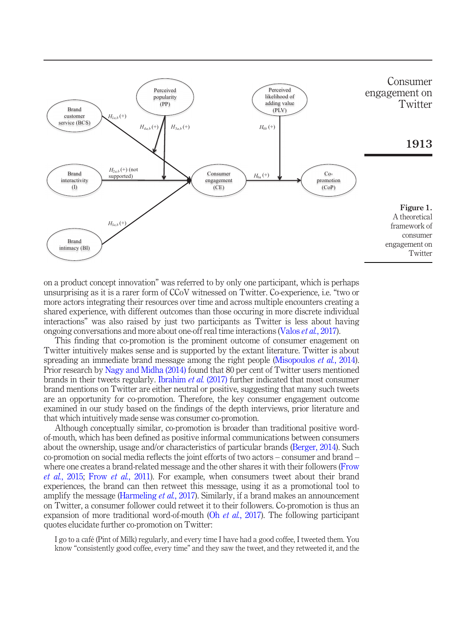

<span id="page-8-0"></span>on a product concept innovation" was referred to by only one participant, which is perhaps unsurprising as it is a rarer form of CCoV witnessed on Twitter. Co-experience, i.e. "two or more actors integrating their resources over time and across multiple encounters creating a shared experience, with different outcomes than those occuring in more discrete individual interactions" was also raised by just two participants as Twitter is less about having ongoing conversations and more about one-off real time interactions ([Valos](#page-28-5) *et al.*, 2017).

This finding that co-promotion is the prominent outcome of consumer enagement on Twitter intuitively makes sense and is supported by the extant literature. Twitter is about spreading an immediate brand message among the right people [\(Misopoulos](#page-26-5) *et al.*, 2014). Prior research by [Nagy and Midha \(2014\)](#page-27-12) found that 80 per cent of Twitter users mentioned brands in their tweets regularly. [Ibrahim](#page-25-1) et al. (2017) further indicated that most consumer brand mentions on Twitter are either neutral or positive, suggesting that many such tweets are an opportunity for co-promotion. Therefore, the key consumer engagement outcome examined in our study based on the findings of the depth interviews, prior literature and that which intuitively made sense was consumer co-promotion.

Although conceptually similar, co-promotion is broader than traditional positive wordof-mouth, which has been defined as positive informal communications between consumers about the ownership, usage and/or characteristics of particular brands [\(Berger, 2014\)](#page-23-13). Such co-promotion on social media reflects the joint efforts of two actors – consumer and brand – where one creates a brand-related message and the other shares it with their followers [\(Frow](#page-24-11) et al.[, 2015;](#page-24-11) Frow et al.[, 2011\)](#page-24-7). For example, when consumers tweet about their brand experiences, the brand can then retweet this message, using it as a promotional tool to amplify the message [\(Harmeling](#page-25-10) *et al.*, 2017). Similarly, if a brand makes an announcement on Twitter, a consumer follower could retweet it to their followers. Co-promotion is thus an expansion of more traditional word-of-mouth  $(Oh *et al.*, 2017)$  $(Oh *et al.*, 2017)$ . The following participant quotes elucidate further co-promotion on Twitter:

I go to a café (Pint of Milk) regularly, and every time I have had a good coffee, I tweeted them. You know "consistently good coffee, every time" and they saw the tweet, and they retweeted it, and the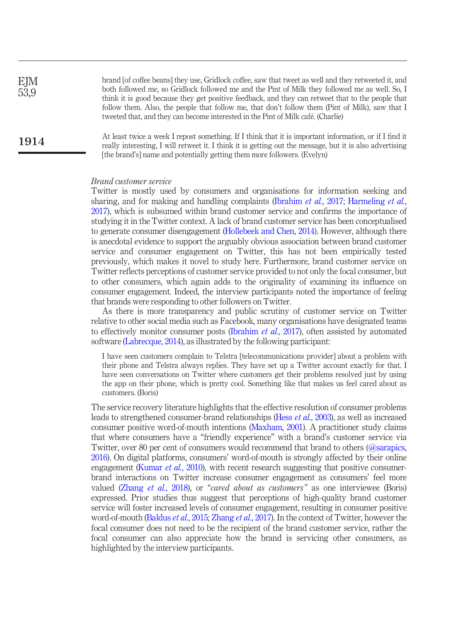brand [of coffee beans] they use, Gridlock coffee, saw that tweet as well and they retweeted it, and both followed me, so Gridlock followed me and the Pint of Milk they followed me as well. So, I think it is good because they get positive feedback, and they can retweet that to the people that follow them. Also, the people that follow me, that don't follow them (Pint of Milk), saw that I tweeted that, and they can become interested in the Pint of Milk café. (Charlie) At least twice a week I repost something. If I think that it is important information, or if I find it really interesting, I will retweet it. I think it is getting out the message, but it is also advertising [the brand's] name and potentially getting them more followers. (Evelyn) EJM 53,9 1914

#### Brand customer service

Twitter is mostly used by consumers and organisations for information seeking and sharing, and for making and handling complaints [\(Ibrahim](#page-25-1) *et al.*, 2017; [Harmeling](#page-25-10) *et al.*, [2017](#page-25-10)), which is subsumed within brand customer service and confirms the importance of studying it in the Twitter context. A lack of brand customer service has been conceptualised to generate consumer disengagement [\(Hollebeek and Chen, 2014](#page-25-9)). However, although there is anecdotal evidence to support the arguably obvious association between brand customer service and consumer engagement on Twitter, this has not been empirically tested previously, which makes it novel to study here. Furthermore, brand customer service on Twitter reflects perceptions of customer service provided to not only the focal consumer, but to other consumers, which again adds to the originality of examining its influence on consumer engagement. Indeed, the interview participants noted the importance of feeling that brands were responding to other followers on Twitter.

As there is more transparency and public scrutiny of customer service on Twitter relative to other social media such as Facebook, many organisations have designated teams to effectively monitor consumer posts [\(Ibrahim](#page-25-1)  $et$   $al$ , 2017), often assisted by automated software ([Labrecque, 2014\)](#page-26-1), as illustrated by the following participant:

I have seen customers complain to Telstra [telecommunications provider] about a problem with their phone and Telstra always replies. They have set up a Twitter account exactly for that. I have seen conversations on Twitter where customers get their problems resolved just by using the app on their phone, which is pretty cool. Something like that makes us feel cared about as customers. (Boris)

The service recovery literature highlights that the effective resolution of consumer problems leads to strengthened consumer-brand relationships (Hess et al.[, 2003](#page-25-16)), as well as increased consumer positive word-of-mouth intentions ([Maxham, 2001](#page-26-9)). A practitioner study claims that where consumers have a "friendly experience" with a brand's customer service via Twitter, over 80 per cent of consumers would recommend that brand to others [\(@sarapics,](#page-23-14) [2016](#page-23-14)). On digital platforms, consumers' word-of-mouth is strongly affected by their online engagement [\(Kumar](#page-26-10) et al., 2010), with recent research suggesting that positive consumerbrand interactions on Twitter increase consumer engagement as consumers' feel more valued [\(Zhang](#page-28-11) et al., 2018), or "cared about as customers" as one interviewee (Boris) expressed. Prior studies thus suggest that perceptions of high-quality brand customer service will foster increased levels of consumer engagement, resulting in consumer positive word-of-mouth [\(Baldus](#page-23-2) *et al.*, 2015; [Zhang](#page-28-12) *et al.*, 2017). In the context of Twitter, however the focal consumer does not need to be the recipient of the brand customer service, rather the focal consumer can also appreciate how the brand is servicing other consumers, as highlighted by the interview participants.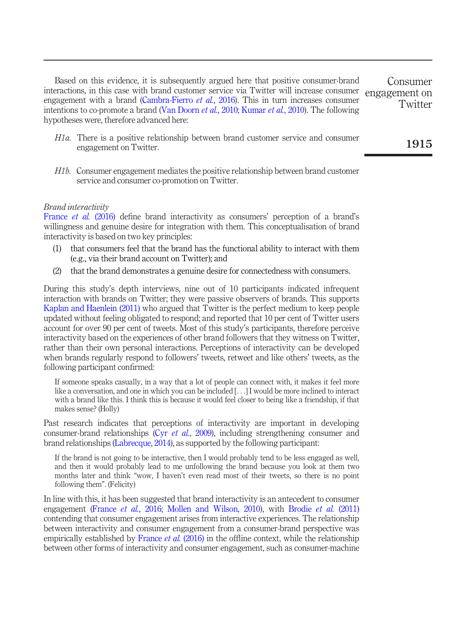Based on this evidence, it is subsequently argued here that positive consumer-brand interactions, in this case with brand customer service via Twitter will increase consumer engagement with a brand ([Cambra-Fierro](#page-23-15) *et al.*, 2016). This in turn increases consumer intentions to co-promote a brand [\(Van Doorn](#page-28-3) *et al.*, 2010; [Kumar](#page-26-10) *et al.*, 2010). The following hypotheses were, therefore advanced here: Consumer engagement on **Twitter** 

- H1a. There is a positive relationship between brand customer service and consumer engagement on Twitter.
- H1b. Consumer engagement mediates the positive relationship between brand customer service and consumer co-promotion on Twitter.

#### Brand interactivity

[France](#page-24-3) et al. (2016) define brand interactivity as consumers' perception of a brand's willingness and genuine desire for integration with them. This conceptualisation of brand interactivity is based on two key principles:

- (1) that consumers feel that the brand has the functional ability to interact with them (e.g., via their brand account on Twitter); and
- (2) that the brand demonstrates a genuine desire for connectedness with consumers.

During this study's depth interviews, nine out of 10 participants indicated infrequent interaction with brands on Twitter; they were passive observers of brands. This supports [Kaplan and Haenlein \(2011\)](#page-26-0) who argued that Twitter is the perfect medium to keep people updated without feeling obligated to respond; and reported that 10 per cent of Twitter users account for over 90 per cent of tweets. Most of this study's participants, therefore perceive interactivity based on the experiences of other brand followers that they witness on Twitter, rather than their own personal interactions. Perceptions of interactivity can be developed when brands regularly respond to followers' tweets, retweet and like others' tweets, as the following participant confirmed:

If someone speaks casually, in a way that a lot of people can connect with, it makes it feel more like a conversation, and one in which you can be included [...] I would be more inclined to interact with a brand like this. I think this is because it would feel closer to being like a friendship, if that makes sense? (Holly)

Past research indicates that perceptions of interactivity are important in developing consumer-brand relationships (Cyr *et al.*[, 2009](#page-24-12)), including strengthening consumer and brand relationships ([Labrecque, 2014\)](#page-26-1), as supported by the following participant:

If the brand is not going to be interactive, then I would probably tend to be less engaged as well, and then it would probably lead to me unfollowing the brand because you look at them two months later and think "wow, I haven't even read most of their tweets, so there is no point following them". (Felicity)

In line with this, it has been suggested that brand interactivity is an antecedent to consumer engagement [\(France](#page-24-3) et al., 2016; [Mollen and Wilson, 2010\)](#page-26-3), with [Brodie](#page-23-0) et al. (2011) contending that consumer engagement arises from interactive experiences. The relationship between interactivity and consumer engagement from a consumer-brand perspective was empirically established by [France](#page-24-3) *et al.* (2016) in the offline context, while the relationship between other forms of interactivity and consumer engagement, such as consumer-machine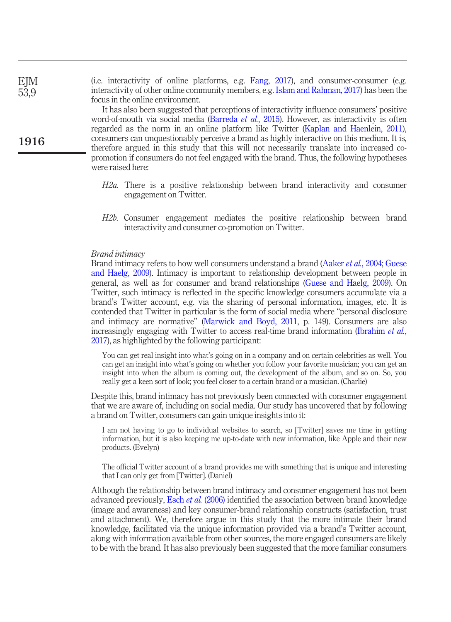(i.e. interactivity of online platforms, e.g. [Fang, 2017\)](#page-24-4), and consumer-consumer (e.g. interactivity of other online community members, e.g. [Islam and Rahman, 2017](#page-25-0)) has been the focus in the online environment.

It has also been suggested that perceptions of interactivity influence consumers' positive word-of-mouth via social media ([Barreda](#page-23-16) et al., 2015). However, as interactivity is often regarded as the norm in an online platform like Twitter [\(Kaplan and Haenlein, 2011\)](#page-26-0), consumers can unquestionably perceive a brand as highly interactive on this medium. It is, therefore argued in this study that this will not necessarily translate into increased copromotion if consumers do not feel engaged with the brand. Thus, the following hypotheses were raised here:

- H2a. There is a positive relationship between brand interactivity and consumer engagement on Twitter.
- H2b. Consumer engagement mediates the positive relationship between brand interactivity and consumer co-promotion on Twitter.

#### Brand intimacy

Brand intimacy refers to how well consumers understand a brand ([Aaker](#page-23-6) et al., 2004; [Guese](#page-24-5) [and Haelg, 2009](#page-24-5)). Intimacy is important to relationship development between people in general, as well as for consumer and brand relationships [\(Guese and Haelg, 2009](#page-24-5)). On Twitter, such intimacy is reflected in the specific knowledge consumers accumulate via a brand's Twitter account, e.g. via the sharing of personal information, images, etc. It is contended that Twitter in particular is the form of social media where "personal disclosure and intimacy are normative" [\(Marwick and Boyd, 2011](#page-26-11), p. 149). Consumers are also increasingly engaging with Twitter to access real-time brand information [\(Ibrahim](#page-25-1) *et al.*, [2017](#page-25-1)), as highlighted by the following participant:

You can get real insight into what's going on in a company and on certain celebrities as well. You can get an insight into what's going on whether you follow your favorite musician; you can get an insight into when the album is coming out, the development of the album, and so on. So, you really get a keen sort of look; you feel closer to a certain brand or a musician. (Charlie)

Despite this, brand intimacy has not previously been connected with consumer engagement that we are aware of, including on social media. Our study has uncovered that by following a brand on Twitter, consumers can gain unique insights into it:

I am not having to go to individual websites to search, so [Twitter] saves me time in getting information, but it is also keeping me up-to-date with new information, like Apple and their new products. (Evelyn)

The official Twitter account of a brand provides me with something that is unique and interesting that I can only get from [Twitter]. (Daniel)

Although the relationship between brand intimacy and consumer engagement has not been advanced previously, Esch et al.  $(2006)$  identified the association between brand knowledge (image and awareness) and key consumer-brand relationship constructs (satisfaction, trust and attachment). We, therefore argue in this study that the more intimate their brand knowledge, facilitated via the unique information provided via a brand's Twitter account, along with information available from other sources, the more engaged consumers are likely to be with the brand. It has also previously been suggested that the more familiar consumers

1916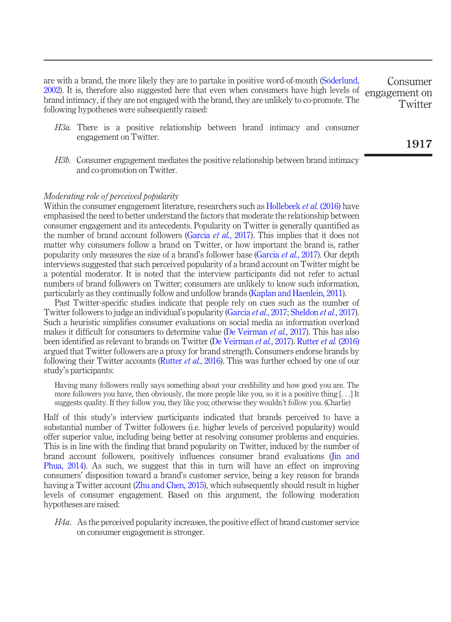are with a brand, the more likely they are to partake in positive word-of-mouth ([Söderlund,](#page-27-13) [2002\)](#page-27-13). It is, therefore also suggested here that even when consumers have high levels of brand intimacy, if they are not engaged with the brand, they are unlikely to co-promote. The following hypotheses were subsequently raised: engagement on

- H3a. There is a positive relationship between brand intimacy and consumer engagement on Twitter.
- H3b. Consumer engagement mediates the positive relationship between brand intimacy and co-promotion on Twitter.

#### Moderating role of perceived popularity

Within the consumer engagement literature, researchers such as [Hollebeek](#page-25-7) *et al.* (2016) have emphasised the need to better understand the factors that moderate the relationship between consumer engagement and its antecedents. Popularity on Twitter is generally quantified as the number of brand account followers ([Garcia](#page-24-14) *et al.*, 2017). This implies that it does not matter why consumers follow a brand on Twitter, or how important the brand is, rather popularity only measures the size of a brand's follower base ([Garcia](#page-24-14) et al., 2017). Our depth interviews suggested that such perceived popularity of a brand account on Twitter might be a potential moderator. It is noted that the interview participants did not refer to actual numbers of brand followers on Twitter; consumers are unlikely to know such information, particularly as they continually follow and unfollow brands ([Kaplan and Haenlein, 2011\)](#page-26-0).

Past Twitter-specific studies indicate that people rely on cues such as the number of Twitter followers to judge an individual's popularity ([Garcia](#page-24-14) *et al.*, 2017; [Sheldon](#page-27-14) *et al.*, 2017). Such a heuristic simplifies consumer evaluations on social media as information overload makes it difficult for consumers to determine value [\(De Veirman](#page-24-15) *et al.*, 2017). This has also been identified as relevant to brands on Twitter [\(De Veirman](#page-24-15) et al., 2017). [Rutter](#page-27-15) et al. (2016) argued that Twitter followers are a proxy for brand strength. Consumers endorse brands by following their Twitter accounts [\(Rutter](#page-27-15) *et al.*, 2016). This was further echoed by one of our study's participants:

Having many followers really says something about your credibility and how good you are. The more followers you have, then obviously, the more people like you, so it is a positive thing [...] It suggests quality. If they follow you, they like you; otherwise they wouldn't follow you. (Charlie)

Half of this study's interview participants indicated that brands perceived to have a substantial number of Twitter followers (i.e. higher levels of perceived popularity) would offer superior value, including being better at resolving consumer problems and enquiries. This is in line with the finding that brand popularity on Twitter, induced by the number of brand account followers, positively influences consumer brand evaluations ([Jin and](#page-26-12) [Phua, 2014\)](#page-26-12). As such, we suggest that this in turn will have an effect on improving consumers' disposition toward a brand's customer service, being a key reason for brands having a Twitter account [\(Zhu and Chen, 2015](#page-28-9)), which subsequently should result in higher levels of consumer engagement. Based on this argument, the following moderation hypotheses are raised:

H4a. As the perceived popularity increases, the positive effect of brand customer service on consumer engagement is stronger.

1917

Consumer

**Twitter**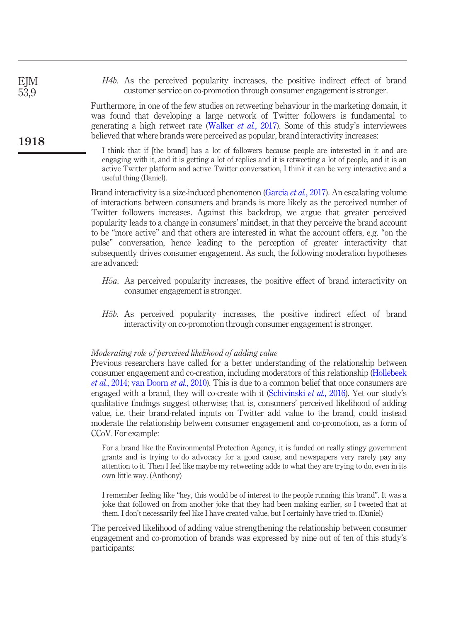|  |  | <i>H4b</i> . As the perceived popularity increases, the positive indirect effect of brand |  |  |  |  |
|--|--|-------------------------------------------------------------------------------------------|--|--|--|--|
|  |  | customer service on co-promotion through consumer engagement is stronger.                 |  |  |  |  |

Furthermore, in one of the few studies on retweeting behaviour in the marketing domain, it was found that developing a large network of Twitter followers is fundamental to generating a high retweet rate ([Walker](#page-28-4) *et al.*, 2017). Some of this study's interviewees believed that where brands were perceived as popular, brand interactivity increases:

I think that if [the brand] has a lot of followers because people are interested in it and are engaging with it, and it is getting a lot of replies and it is retweeting a lot of people, and it is an active Twitter platform and active Twitter conversation, I think it can be very interactive and a useful thing (Daniel).

Brand interactivity is a size-induced phenomenon [\(Garcia](#page-24-14) *et al.*, 2017). An escalating volume of interactions between consumers and brands is more likely as the perceived number of Twitter followers increases. Against this backdrop, we argue that greater perceived popularity leads to a change in consumers' mindset, in that they perceive the brand account to be "more active" and that others are interested in what the account offers, e.g. "on the pulse" conversation, hence leading to the perception of greater interactivity that subsequently drives consumer engagement. As such, the following moderation hypotheses are advanced:

- H5a. As perceived popularity increases, the positive effect of brand interactivity on consumer engagement is stronger.
- H5b. As perceived popularity increases, the positive indirect effect of brand interactivity on co-promotion through consumer engagement is stronger.

#### Moderating role of perceived likelihood of adding value

**EJM** 53,9

1918

Previous researchers have called for a better understanding of the relationship between consumer engagement and co-creation, including moderators of this relationship ([Hollebeek](#page-25-4) et al.[, 2014](#page-25-4); [van Doorn](#page-28-3) et al., 2010). This is due to a common belief that once consumers are engaged with a brand, they will co-create with it [\(Schivinski](#page-27-1) *et al.*, 2016). Yet our study's qualitative findings suggest otherwise; that is, consumers' perceived likelihood of adding value, i.e. their brand-related inputs on Twitter add value to the brand, could instead moderate the relationship between consumer engagement and co-promotion, as a form of CCoV. For example:

For a brand like the Environmental Protection Agency, it is funded on really stingy government grants and is trying to do advocacy for a good cause, and newspapers very rarely pay any attention to it. Then I feel like maybe my retweeting adds to what they are trying to do, even in its own little way. (Anthony)

I remember feeling like "hey, this would be of interest to the people running this brand". It was a joke that followed on from another joke that they had been making earlier, so I tweeted that at them. I don't necessarily feel like I have created value, but I certainly have tried to. (Daniel)

The perceived likelihood of adding value strengthening the relationship between consumer engagement and co-promotion of brands was expressed by nine out of ten of this study's participants: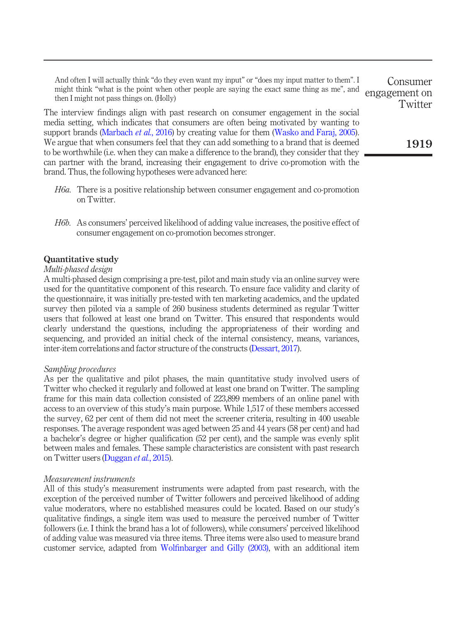And often I will actually think "do they even want my input" or "does my input matter to them". I might think "what is the point when other people are saying the exact same thing as me", and then I might not pass things on. (Holly)

The interview findings align with past research on consumer engagement in the social media setting, which indicates that consumers are often being motivated by wanting to support brands ([Marbach](#page-26-7) *et al.*, 2016) by creating value for them [\(Wasko and Faraj, 2005\)](#page-28-13). We argue that when consumers feel that they can add something to a brand that is deemed to be worthwhile (i.e. when they can make a difference to the brand), they consider that they can partner with the brand, increasing their engagement to drive co-promotion with the brand. Thus, the following hypotheses were advanced here:

- H6a. There is a positive relationship between consumer engagement and co-promotion on Twitter.
- H6b. As consumers' perceived likelihood of adding value increases, the positive effect of consumer engagement on co-promotion becomes stronger.

## Quantitative study

## Multi-phased design

A multi-phased design comprising a pre-test, pilot and main study via an online survey were used for the quantitative component of this research. To ensure face validity and clarity of the questionnaire, it was initially pre-tested with ten marketing academics, and the updated survey then piloted via a sample of 260 business students determined as regular Twitter users that followed at least one brand on Twitter. This ensured that respondents would clearly understand the questions, including the appropriateness of their wording and sequencing, and provided an initial check of the internal consistency, means, variances, inter-item correlations and factor structure of the constructs [\(Dessart, 2017](#page-24-6)).

#### Sampling procedures

As per the qualitative and pilot phases, the main quantitative study involved users of Twitter who checked it regularly and followed at least one brand on Twitter. The sampling frame for this main data collection consisted of 223,899 members of an online panel with access to an overview of this study's main purpose. While 1,517 of these members accessed the survey, 62 per cent of them did not meet the screener criteria, resulting in 400 useable responses. The average respondent was aged between 25 and 44 years (58 per cent) and had a bachelor's degree or higher qualification (52 per cent), and the sample was evenly split between males and females. These sample characteristics are consistent with past research on Twitter users [\(Duggan](#page-24-16) et al., 2015).

## Measurement instruments

All of this study's measurement instruments were adapted from past research, with the exception of the perceived number of Twitter followers and perceived likelihood of adding value moderators, where no established measures could be located. Based on our study's qualitative findings, a single item was used to measure the perceived number of Twitter followers (i.e. I think the brand has a lot of followers), while consumers' perceived likelihood of adding value was measured via three items. Three items were also used to measure brand customer service, adapted from Wolfi[nbarger and Gilly \(2003\),](#page-28-14) with an additional item

1919

**Twitter** 

Consumer engagement on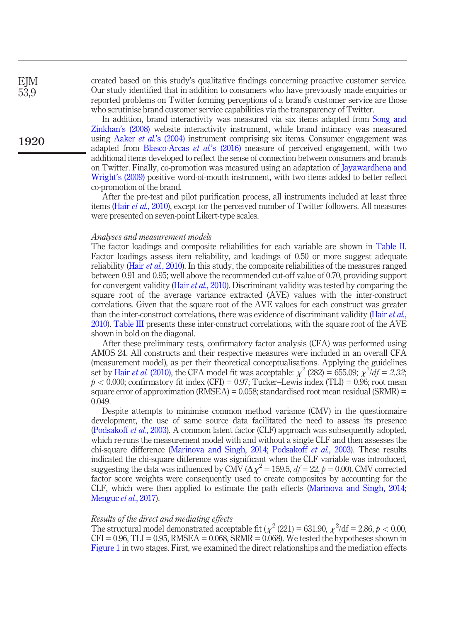created based on this study's qualitative findings concerning proactive customer service. Our study identified that in addition to consumers who have previously made enquiries or reported problems on Twitter forming perceptions of a brand's customer service are those who scrutinise brand customer service capabilities via the transparency of Twitter.

In addition, brand interactivity was measured via six items adapted from [Song and](#page-27-16) [Zinkhan](#page-27-16)'s (2008) website interactivity instrument, while brand intimacy was measured using Aaker *et al.*'[s \(2004\)](#page-23-6) instrument comprising six items. Consumer engagement was adapted from [Blasco-Arcas](#page-23-8) et al.'s (2016) measure of perceived engagement, with two additional items developed to reflect the sense of connection between consumers and brands on Twitter. Finally, co-promotion was measured using an adaptation of [Jayawardhena and](#page-26-13) Wright'[s \(2009\)](#page-26-13) positive word-of-mouth instrument, with two items added to better reflect co-promotion of the brand.

After the pre-test and pilot purification process, all instruments included at least three items (Hair et al.[, 2010\)](#page-25-17), except for the perceived number of Twitter followers. All measures were presented on seven-point Likert-type scales.

#### Analyses and measurement models

The factor loadings and composite reliabilities for each variable are shown in [Table II.](#page-16-0) Factor loadings assess item reliability, and loadings of 0.50 or more suggest adequate reliability (Hair et al.[, 2010](#page-25-17)). In this study, the composite reliabilities of the measures ranged between 0.91 and 0.95; well above the recommended cut-off value of 0.70, providing support for convergent validity (Hair et al.[, 2010\)](#page-25-17). Discriminant validity was tested by comparing the square root of the average variance extracted (AVE) values with the inter-construct correlations. Given that the square root of the AVE values for each construct was greater than the inter-construct correlations, there was evidence of discriminant validity (Hair *[et al.](#page-25-17)*, [2010](#page-25-17)). [Table III](#page-17-0) presents these inter-construct correlations, with the square root of the AVE shown in bold on the diagonal.

After these preliminary tests, confirmatory factor analysis (CFA) was performed using AMOS 24. All constructs and their respective measures were included in an overall CFA (measurement model), as per their theoretical conceptualisations. Applying the guidelines set by Hair *et al.* [\(2010\)](#page-25-17), the CFA model fit was acceptable:  $\chi^2$  (282) = 655.09;  $\chi^2/df = 2.32$ ;  $p < 0.000$ ; confirmatory fit index (CFI) = 0.97; Tucker–Lewis index (TLI) = 0.96; root mean square error of approximation ( $RMSEA$ ) = 0.058; standardised root mean residual ( $SRMR$ ) = 0.049.

Despite attempts to minimise common method variance (CMV) in the questionnaire development, the use of same source data facilitated the need to assess its presence [\(Podsakoff](#page-27-17) et al., 2003). A common latent factor (CLF) approach was subsequently adopted, which re-runs the measurement model with and without a single CLF and then assesses the chi-square difference ([Marinova and Singh, 2014](#page-26-14); [Podsakoff](#page-27-17) et al., 2003). These results indicated the chi-square difference was significant when the CLF variable was introduced, suggesting the data was influenced by CMV ( $\Delta \chi^2 = 159.5$ ,  $df = 22$ ,  $p = 0.00$ ). CMV corrected factor score weights were consequently used to create composites by accounting for the CLF, which were then applied to estimate the path effects [\(Marinova and Singh, 2014;](#page-26-14) [Menguc](#page-26-15) et al., 2017).

#### Results of the direct and mediating effects

The structural model demonstrated acceptable fit ( $\chi^2$  (221) = 631.90,  $\chi^2$ /df = 2.86,  $p < 0.00$ ,  $CFI = 0.96$ ,  $TLI = 0.95$ ,  $RMSEA = 0.068$ ,  $SRMR = 0.068$ ). We tested the hypotheses shown in [Figure 1](#page-8-0) in two stages. First, we examined the direct relationships and the mediation effects

EJM 53,9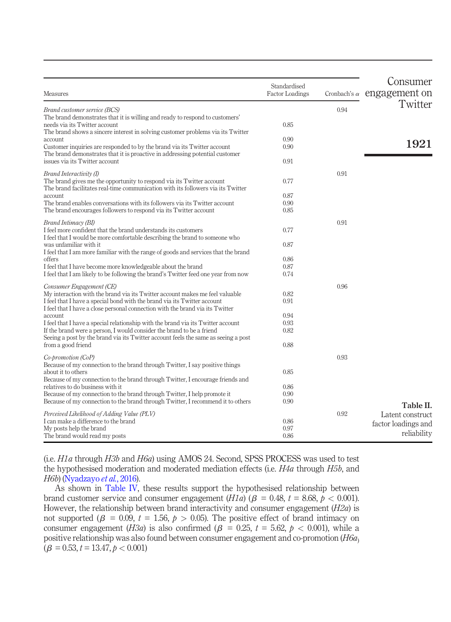| <b>Measures</b>                                                                                                                                           | Standardised<br><b>Factor Loadings</b> |      | Consumer<br>Cronbach's $\alpha$ engagement on |
|-----------------------------------------------------------------------------------------------------------------------------------------------------------|----------------------------------------|------|-----------------------------------------------|
| Brand customer service (BCS)                                                                                                                              |                                        | 0.94 | Twitter                                       |
| The brand demonstrates that it is willing and ready to respond to customers'                                                                              |                                        |      |                                               |
| needs via its Twitter account                                                                                                                             | 0.85                                   |      |                                               |
| The brand shows a sincere interest in solving customer problems via its Twitter<br>account                                                                | 0.90                                   |      |                                               |
| Customer inquiries are responded to by the brand via its Twitter account                                                                                  | 0.90                                   |      | 1921                                          |
| The brand demonstrates that it is proactive in addressing potential customer                                                                              |                                        |      |                                               |
| issues via its Twitter account                                                                                                                            | 0.91                                   |      |                                               |
| Brand Interactivity (I)                                                                                                                                   |                                        | 0.91 |                                               |
| The brand gives me the opportunity to respond via its Twitter account                                                                                     | 0.77                                   |      |                                               |
| The brand facilitates real-time communication with its followers via its Twitter                                                                          | 0.87                                   |      |                                               |
| account<br>The brand enables conversations with its followers via its Twitter account                                                                     | 0.90                                   |      |                                               |
| The brand encourages followers to respond via its Twitter account                                                                                         | 0.85                                   |      |                                               |
|                                                                                                                                                           |                                        |      |                                               |
| Brand Intimacy (BI)<br>I feel more confident that the brand understands its customers                                                                     | 0.77                                   | 0.91 |                                               |
| I feel that I would be more comfortable describing the brand to someone who                                                                               |                                        |      |                                               |
| was unfamiliar with it                                                                                                                                    | 0.87                                   |      |                                               |
| I feel that I am more familiar with the range of goods and services that the brand                                                                        |                                        |      |                                               |
| offers                                                                                                                                                    | 0.86                                   |      |                                               |
| I feel that I have become more knowledgeable about the brand                                                                                              | 0.87<br>0.74                           |      |                                               |
| I feel that I am likely to be following the brand's Twitter feed one year from now                                                                        |                                        |      |                                               |
| Consumer Engagement (CE)                                                                                                                                  |                                        | 0.96 |                                               |
| My interaction with the brand via its Twitter account makes me feel valuable                                                                              | 0.82                                   |      |                                               |
| I feel that I have a special bond with the brand via its Twitter account<br>I feel that I have a close personal connection with the brand via its Twitter | 0.91                                   |      |                                               |
| account                                                                                                                                                   | 0.94                                   |      |                                               |
| I feel that I have a special relationship with the brand via its Twitter account                                                                          | 0.93                                   |      |                                               |
| If the brand were a person, I would consider the brand to be a friend                                                                                     | 0.82                                   |      |                                               |
| Seeing a post by the brand via its Twitter account feels the same as seeing a post                                                                        |                                        |      |                                               |
| from a good friend                                                                                                                                        | 0.88                                   |      |                                               |
| Co-promotion (CoP)                                                                                                                                        |                                        | 0.93 |                                               |
| Because of my connection to the brand through Twitter, I say positive things                                                                              |                                        |      |                                               |
| about it to others                                                                                                                                        | 0.85                                   |      |                                               |
| Because of my connection to the brand through Twitter, I encourage friends and<br>relatives to do business with it                                        | 0.86                                   |      |                                               |
| Because of my connection to the brand through Twitter, I help promote it                                                                                  | 0.90                                   |      |                                               |
| Because of my connection to the brand through Twitter, I recommend it to others                                                                           | 0.90                                   |      |                                               |
|                                                                                                                                                           |                                        | 0.92 | Table II.                                     |
| Perceived Likelihood of Adding Value (PLV)<br>I can make a difference to the brand                                                                        | 0.86                                   |      | Latent construct                              |
| My posts help the brand                                                                                                                                   | 0.97                                   |      | factor loadings and                           |
| The brand would read my posts                                                                                                                             | 0.86                                   |      | reliability                                   |

<span id="page-16-0"></span>(i.e. H1a through H3b and H6a) using AMOS 24. Second, SPSS PROCESS was used to test the hypothesised moderation and moderated mediation effects (i.e. H4a through H5b, and H6b) ([Nyadzayo](#page-27-18) et al., 2016).

As shown in [Table IV,](#page-17-1) these results support the hypothesised relationship between brand customer service and consumer engagement  $(H1a)$  ( $\beta = 0.48$ ,  $t = 8.68$ ,  $p < 0.001$ ). However, the relationship between brand interactivity and consumer engagement  $(H2a)$  is not supported ( $\beta$  = 0.09, t = 1.56,  $p > 0.05$ ). The positive effect of brand intimacy on consumer engagement (H3a) is also confirmed ( $\beta$  = 0.25, t = 5.62,  $p$  < 0.001), while a positive relationship was also found between consumer engagement and co-promotion  $(H6a)$  $(\beta = 0.53, t = 13.47, p < 0.001)$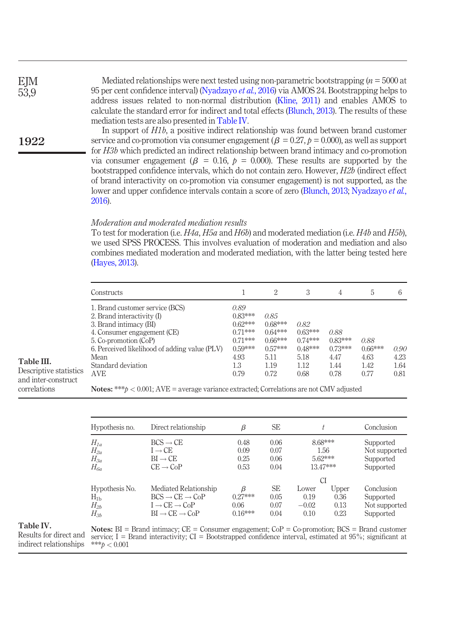EJM 53,9

## 1922

Mediated relationships were next tested using non-parametric bootstrapping  $(n = 5000$  at 95 per cent confidence interval) [\(Nyadzayo](#page-27-18) *et al.*, 2016) via AMOS 24. Bootstrapping helps to address issues related to non-normal distribution ([Kline, 2011\)](#page-26-16) and enables AMOS to calculate the standard error for indirect and total effects [\(Blunch, 2013](#page-23-17)). The results of these mediation tests are also presented in [Table IV.](#page-17-1)

In support of H1b, a positive indirect relationship was found between brand customer service and co-promotion via consumer engagement ( $\beta = 0.27$ ,  $p = 0.000$ ), as well as support for H3b which predicted an indirect relationship between brand intimacy and co-promotion via consumer engagement ( $\beta$  = 0.16,  $\dot{p}$  = 0.000). These results are supported by the bootstrapped confidence intervals, which do not contain zero. However, H2b (indirect effect of brand interactivity on co-promotion via consumer engagement) is not supported, as the lower and upper confidence intervals contain a score of zero ([Blunch, 2013;](#page-23-17) [Nyadzayo](#page-27-18) et al., [2016](#page-27-18)).

## Moderation and moderated mediation results

To test for moderation (i.e.  $H4a$ ,  $H5a$  and  $H6b$ ) and moderated mediation (i.e.  $H4b$  and  $H5b$ ), we used SPSS PROCESS. This involves evaluation of moderation and mediation and also combines mediated moderation and moderated mediation, with the latter being tested here [\(Hayes, 2013](#page-25-18)).

| Constructs             |                                               |           | 2         | 3         | 4         | 5         | 6    |
|------------------------|-----------------------------------------------|-----------|-----------|-----------|-----------|-----------|------|
|                        | 1. Brand customer service (BCS)               | 0.89      |           |           |           |           |      |
|                        | 2. Brand interactivity (I)                    | $0.83***$ | 0.85      |           |           |           |      |
| 3. Brand intimacy (BI) |                                               | $0.62***$ | $0.68***$ | 0.82      |           |           |      |
|                        | 4. Consumer engagement (CE)                   | $0.71***$ | $0.64***$ | $0.63***$ | 0.88      |           |      |
| 5. Co-promotion (CoP)  |                                               | $0.71***$ | $0.66***$ | $0.74***$ | $0.83***$ | 0.88      |      |
|                        | 6. Perceived likelihood of adding value (PLV) | $0.59***$ | $0.57***$ | $0.48***$ | $0.73***$ | $0.66***$ | 0.90 |
| Mean                   |                                               | 4.93      | 5.11      | 5.18      | 4.47      | 4.63      | 4.23 |
| Standard deviation     |                                               | 1.3       | 1.19      | 1.12      | 1.44      | 1.42      | 1.64 |
| e statistics<br>AVE    |                                               | 0.79      | 0.72      | 0.68      | 0.78      | 0.77      | 0.81 |

<span id="page-17-0"></span>Table III. Descriptive

and inter- $c$ correlations

Notes: \*\*\* $p < 0.001$ ; AVE = average variance extracted; Correlations are not CMV adjusted

| Hypothesis no.                                     | Direct relationship                                                                                                                        | β                                   | <b>SE</b>                         |                                  |                                          | Conclusion                                            |
|----------------------------------------------------|--------------------------------------------------------------------------------------------------------------------------------------------|-------------------------------------|-----------------------------------|----------------------------------|------------------------------------------|-------------------------------------------------------|
| $H_{1a}$<br>$H_{2a}$<br>$H_{3a}$<br>$H_{6a}$       | $BCS \rightarrow CE$<br>$I \rightarrow CE$<br>$BI \rightarrow CE$<br>$CE \rightarrow CoP$                                                  | 0.48<br>0.09<br>0.25<br>0.53        | 0.06<br>0.07<br>0.06<br>0.04      |                                  | 8.68***<br>1.56<br>$5.62***$<br>13.47*** | Supported<br>Not supported<br>Supported<br>Supported  |
| Hypothesis No.<br>$H_{1b}$<br>$H_{2b}$<br>$H_{3b}$ | Mediated Relationship<br>$BCS \rightarrow CE \rightarrow CoP$<br>$I \rightarrow CE \rightarrow CoP$<br>$BI \rightarrow CE \rightarrow CoP$ | β<br>$0.27***$<br>0.06<br>$0.16***$ | <b>SE</b><br>0.05<br>0.07<br>0.04 | Lower<br>0.19<br>$-0.02$<br>0.10 | СI<br>Upper<br>0.36<br>0.13<br>0.23      | Conclusion<br>Supported<br>Not supported<br>Supported |

## <span id="page-17-1"></span>Table IV.

Notes:  $BI = Brand intimax; CE = Consumer engagement; CoP = Co-promotion; BCS = Brand customer$ service; I = Brand interactivity;  $CI =$  Bootstrapped confidence interval, estimated at  $95\%$ ; significant at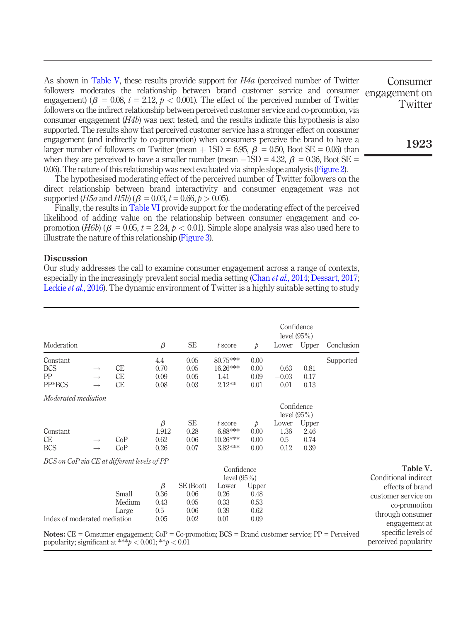As shown in [Table V,](#page-18-0) these results provide support for  $H4a$  (perceived number of Twitter followers moderates the relationship between brand customer service and consumer engagement) ( $\beta = 0.08$ ,  $t = 2.12$ ,  $\rho < 0.001$ ). The effect of the perceived number of Twitter followers on the indirect relationship between perceived customer service and co-promotion, via consumer engagement  $(H4b)$  was next tested, and the results indicate this hypothesis is also supported. The results show that perceived customer service has a stronger effect on consumer engagement (and indirectly to co-promotion) when consumers perceive the brand to have a larger number of followers on Twitter (mean  $+$  1SD = 6.95,  $\beta$  = 0.50, Boot SE = 0.06) than when they are perceived to have a smaller number (mean  $-1SD = 4.32$ ,  $\beta = 0.36$ , Boot  $SE = 0.08$ 0.06). The nature of this relationship was next evaluated via simple slope analysis ([Figure 2\)](#page-19-0).

The hypothesised moderating effect of the perceived number of Twitter followers on the direct relationship between brand interactivity and consumer engagement was not supported (*H5a* and *H5b*) ( $\beta = 0.03$ ,  $t = 0.66$ ,  $p > 0.05$ ).

Finally, the results in [Table VI](#page-19-1) provide support for the moderating effect of the perceived likelihood of adding value on the relationship between consumer engagement and copromotion (H6b) ( $\beta = 0.05$ ,  $t = 2.24$ ,  $p < 0.01$ ). Simple slope analysis was also used here to illustrate the nature of this relationship [\(Figure 3](#page-20-0)).

#### **Discussion**

Our study addresses the call to examine consumer engagement across a range of contexts, especially in the increasingly prevalent social media setting (Chan *et al.*[, 2014;](#page-23-3) [Dessart, 2017](#page-24-6); [Leckie](#page-26-4) *et al.*, 2016). The dynamic environment of Twitter is a highly suitable setting to study

|                                                                                                                                                                                 |                                |                              |                                  |                                           |                                                         |                                       |                              | Confidence<br>level $(95\%)$  |            |                                                                                                                      |
|---------------------------------------------------------------------------------------------------------------------------------------------------------------------------------|--------------------------------|------------------------------|----------------------------------|-------------------------------------------|---------------------------------------------------------|---------------------------------------|------------------------------|-------------------------------|------------|----------------------------------------------------------------------------------------------------------------------|
| Moderation                                                                                                                                                                      |                                |                              | $\beta$                          | <b>SE</b>                                 | t score                                                 | $\mathcal{D}$                         |                              | Lower Upper                   | Conclusion |                                                                                                                      |
| Constant<br><b>BCS</b><br>PP<br>PP*BCS                                                                                                                                          | $\rightarrow$<br>$\rightarrow$ | <b>CE</b><br>СE<br><b>CE</b> | 4.4<br>0.70<br>0.09<br>0.08      | 0.05<br>0.05<br>0.05<br>0.03              | 80.75***<br>$16.26***$<br>1.41<br>$2.12***$             | 0.00<br>0.00<br>0.09<br>0.01          | 0.63<br>$-0.03$<br>0.01      | 0.81<br>0.17<br>0.13          | Supported  |                                                                                                                      |
| Moderated mediation                                                                                                                                                             |                                |                              |                                  |                                           |                                                         |                                       |                              | Confidence<br>level $(95\%)$  |            |                                                                                                                      |
| Constant<br>CE<br><b>BCS</b>                                                                                                                                                    | $\rightarrow$                  | CoP<br>CoP                   | β<br>1.912<br>0.62<br>0.26       | <b>SE</b><br>0.28<br>0.06<br>0.07         | t score<br>6.88***<br>$10.26***$<br>3.82***             | $\mathcal{D}$<br>0.00<br>0.00<br>0.00 | Lower<br>1.36<br>0.5<br>0.12 | Upper<br>2.46<br>0.74<br>0.39 |            |                                                                                                                      |
| BCS on CoP via CE at different levels of PP                                                                                                                                     |                                |                              |                                  |                                           | Confidence                                              |                                       |                              |                               |            | Table V.                                                                                                             |
| Index of moderated mediation                                                                                                                                                    |                                | Small<br>Medium<br>Large     | β<br>0.36<br>0.43<br>0.5<br>0.05 | SE (Boot)<br>0.06<br>0.05<br>0.06<br>0.02 | level $(95\%)$<br>Lower<br>0.26<br>0.33<br>0.39<br>0.01 | Upper<br>0.48<br>0.53<br>0.62<br>0.09 |                              |                               |            | Conditional indirect<br>effects of brand<br>customer service on<br>co-promotion<br>through consumer<br>engagement at |
| <b>Notes:</b> $CE =$ Consumer engagement; $CoP = Co-$ promotion; $BCS =$ Brand customer service; $PP =$ Perceived<br>popularity; significant at *** $b < 0.001$ ; ** $b < 0.01$ |                                |                              |                                  |                                           |                                                         |                                       |                              |                               |            | specific levels of<br>perceived popularity                                                                           |

Consumer engagement on **Twitter** 

<span id="page-18-0"></span>1923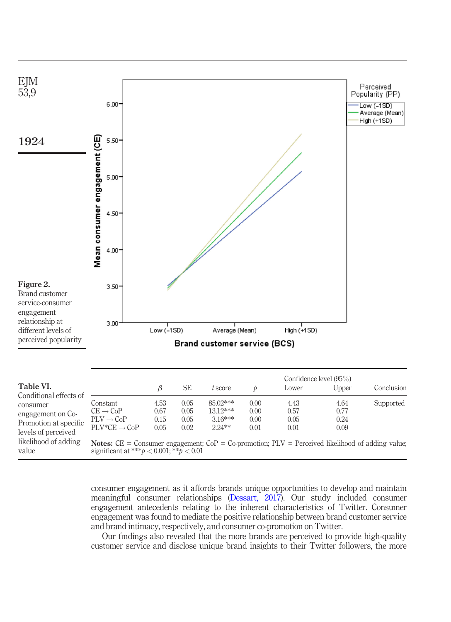

<span id="page-19-1"></span><span id="page-19-0"></span>consumer engagement as it affords brands unique opportunities to develop and maintain meaningful consumer relationships ([Dessart, 2017](#page-24-6)). Our study included consumer engagement antecedents relating to the inherent characteristics of Twitter. Consumer engagement was found to mediate the positive relationship between brand customer service and brand intimacy, respectively, and consumer co-promotion on Twitter.

Our findings also revealed that the more brands are perceived to provide high-quality customer service and disclose unique brand insights to their Twitter followers, the more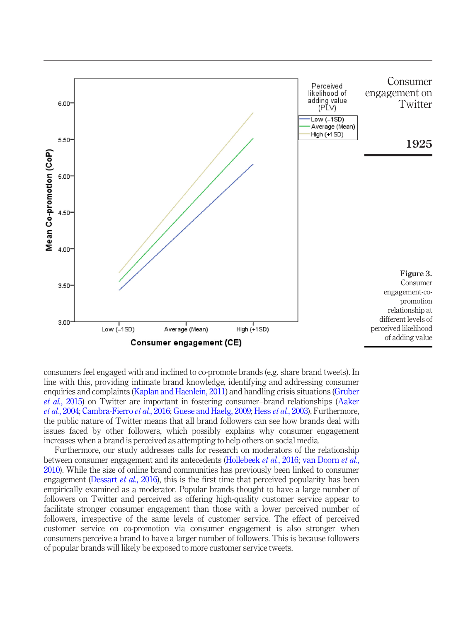

<span id="page-20-0"></span>consumers feel engaged with and inclined to co-promote brands (e.g. share brand tweets). In line with this, providing intimate brand knowledge, identifying and addressing consumer enquiries and complaints ([Kaplan and Haenlein, 2011\)](#page-26-0) and handling crisis situations [\(Gruber](#page-24-17) et al.[, 2015\)](#page-24-17) on Twitter are important in fostering consumer–brand relationships ([Aaker](#page-23-6) et al.[, 2004](#page-23-6); [Cambra-Fierro](#page-23-15) et al., 2016; [Guese and Haelg, 2009](#page-24-5); Hess et al.[, 2003\)](#page-25-16). Furthermore, the public nature of Twitter means that all brand followers can see how brands deal with issues faced by other followers, which possibly explains why consumer engagement increases when a brand is perceived as attempting to help others on social media.

Furthermore, our study addresses calls for research on moderators of the relationship between consumer engagement and its antecedents [\(Hollebeek](#page-25-7) et al., 2016; [van Doorn](#page-28-3) et al., [2010\)](#page-28-3). While the size of online brand communities has previously been linked to consumer engagement [\(Dessart](#page-24-1) *et al.*, 2016), this is the first time that perceived popularity has been empirically examined as a moderator. Popular brands thought to have a large number of followers on Twitter and perceived as offering high-quality customer service appear to facilitate stronger consumer engagement than those with a lower perceived number of followers, irrespective of the same levels of customer service. The effect of perceived customer service on co-promotion via consumer engagement is also stronger when consumers perceive a brand to have a larger number of followers. This is because followers of popular brands will likely be exposed to more customer service tweets.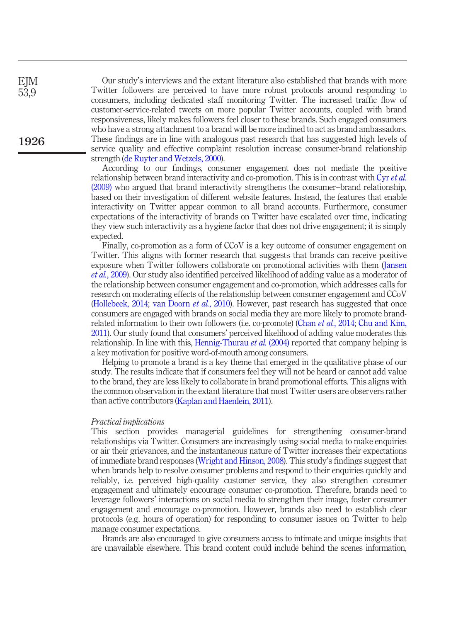| EJM  | Our study's interviews and the extant literature also established that brands with more    |
|------|--------------------------------------------------------------------------------------------|
| 53,9 | Twitter followers are perceived to have more robust protocols around responding to         |
|      | consumers, including dedicated staff monitoring Twitter. The increased traffic flow of     |
|      | customer-service-related tweets on more popular Twitter accounts, coupled with brand       |
|      | responsiveness, likely makes followers feel closer to these brands. Such engaged consumers |
|      | who have a strong attachment to a brand will be more inclined to act as brand ambassadors. |
| 1926 | These findings are in line with analogous past research that has suggested high levels of  |
|      | service quality and effective complaint resolution increase consumer-brand relationship    |
|      | strength (de Ruyter and Wetzels, 2000).                                                    |

According to our findings, consumer engagement does not mediate the positive relationship between brand interactivity and co-promotion. This is in contrast with Cyr [et al.](#page-24-12) [\(2009\)](#page-24-12) who argued that brand interactivity strengthens the consumer–brand relationship, based on their investigation of different website features. Instead, the features that enable interactivity on Twitter appear common to all brand accounts. Furthermore, consumer expectations of the interactivity of brands on Twitter have escalated over time, indicating they view such interactivity as a hygiene factor that does not drive engagement; it is simply expected.

Finally, co-promotion as a form of CCoV is a key outcome of consumer engagement on Twitter. This aligns with former research that suggests that brands can receive positive exposure when Twitter followers collaborate on promotional activities with them [\(Jansen](#page-26-17) et al.[, 2009\)](#page-26-17). Our study also identified perceived likelihood of adding value as a moderator of the relationship between consumer engagement and co-promotion, which addresses calls for research on moderating effects of the relationship between consumer engagement and CCoV [\(Hollebeek, 2014;](#page-25-4) [van Doorn](#page-28-3) et al., 2010). However, past research has suggested that once consumers are engaged with brands on social media they are more likely to promote brand-related information to their own followers (i.e. co-promote) (Chan et al.[, 2014;](#page-23-3) [Chu and Kim,](#page-23-18) [2011](#page-23-18)). Our study found that consumers' perceived likelihood of adding value moderates this relationship. In line with this, [Hennig-Thurau](#page-25-19) *et al.* (2004) reported that company helping is a key motivation for positive word-of-mouth among consumers.

Helping to promote a brand is a key theme that emerged in the qualitative phase of our study. The results indicate that if consumers feel they will not be heard or cannot add value to the brand, they are less likely to collaborate in brand promotional efforts. This aligns with the common observation in the extant literature that most Twitter users are observers rather than active contributors ([Kaplan and Haenlein, 2011](#page-26-0)).

#### Practical implications

**EIM** 53,9

> This section provides managerial guidelines for strengthening consumer-brand relationships via Twitter. Consumers are increasingly using social media to make enquiries or air their grievances, and the instantaneous nature of Twitter increases their expectations of immediate brand responses [\(Wright and Hinson, 2008](#page-28-15)). This study's findings suggest that when brands help to resolve consumer problems and respond to their enquiries quickly and reliably, i.e. perceived high-quality customer service, they also strengthen consumer engagement and ultimately encourage consumer co-promotion. Therefore, brands need to leverage followers' interactions on social media to strengthen their image, foster consumer engagement and encourage co-promotion. However, brands also need to establish clear protocols (e.g. hours of operation) for responding to consumer issues on Twitter to help manage consumer expectations.

> Brands are also encouraged to give consumers access to intimate and unique insights that are unavailable elsewhere. This brand content could include behind the scenes information,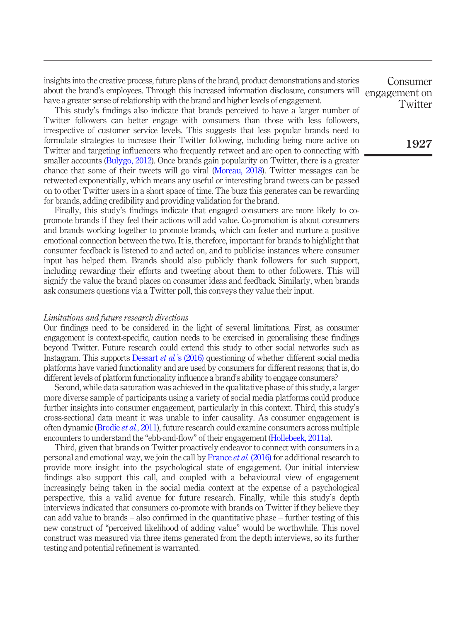insights into the creative process, future plans of the brand, product demonstrations and stories about the brand's employees. Through this increased information disclosure, consumers will have a greater sense of relationship with the brand and higher levels of engagement.

This study's findings also indicate that brands perceived to have a larger number of Twitter followers can better engage with consumers than those with less followers, irrespective of customer service levels. This suggests that less popular brands need to formulate strategies to increase their Twitter following, including being more active on Twitter and targeting influencers who frequently retweet and are open to connecting with smaller accounts [\(Bulygo, 2012\)](#page-23-19). Once brands gain popularity on Twitter, there is a greater chance that some of their tweets will go viral ([Moreau, 2018\)](#page-26-18). Twitter messages can be retweeted exponentially, which means any useful or interesting brand tweets can be passed on to other Twitter users in a short space of time. The buzz this generates can be rewarding for brands, adding credibility and providing validation for the brand.

Finally, this study's findings indicate that engaged consumers are more likely to copromote brands if they feel their actions will add value. Co-promotion is about consumers and brands working together to promote brands, which can foster and nurture a positive emotional connection between the two. It is, therefore, important for brands to highlight that consumer feedback is listened to and acted on, and to publicise instances where consumer input has helped them. Brands should also publicly thank followers for such support, including rewarding their efforts and tweeting about them to other followers. This will signify the value the brand places on consumer ideas and feedback. Similarly, when brands ask consumers questions via a Twitter poll, this conveys they value their input.

## Limitations and future research directions

Our findings need to be considered in the light of several limitations. First, as consumer engagement is context-specific, caution needs to be exercised in generalising these findings beyond Twitter. Future research could extend this study to other social networks such as Instagram. This supports Dessart et al.'[s \(2016\)](#page-24-1) questioning of whether different social media platforms have varied functionality and are used by consumers for different reasons; that is, do different levels of platform functionality influence a brand's ability to engage consumers?

Second, while data saturation was achieved in the qualitative phase of this study, a larger more diverse sample of participants using a variety of social media platforms could produce further insights into consumer engagement, particularly in this context. Third, this study's cross-sectional data meant it was unable to infer causality. As consumer engagement is often dynamic [\(Brodie](#page-23-0) et al., 2011), future research could examine consumers across multiple encounters to understand the "ebb-and-flow" of their engagement [\(Hollebeek, 2011a](#page-25-2)).

Third, given that brands on Twitter proactively endeavor to connect with consumers in a personal and emotional way, we join the call by [France](#page-24-3) *et al.* (2016) for additional research to provide more insight into the psychological state of engagement. Our initial interview findings also support this call, and coupled with a behavioural view of engagement increasingly being taken in the social media context at the expense of a psychological perspective, this a valid avenue for future research. Finally, while this study's depth interviews indicated that consumers co-promote with brands on Twitter if they believe they can add value to brands – also confirmed in the quantitative phase – further testing of this new construct of "perceived likelihood of adding value" would be worthwhile. This novel construct was measured via three items generated from the depth interviews, so its further testing and potential refinement is warranted.

Consumer engagement on **Twitter** 

1927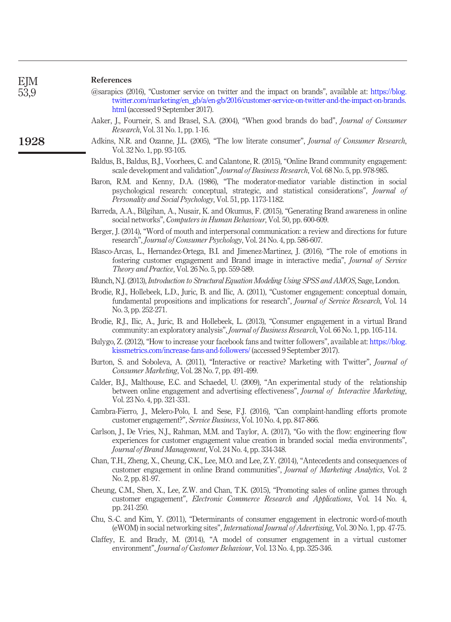1928

#### References

<span id="page-23-14"></span>

| <i>(a)</i> arapics (2016), "Customer service on twitter and the impact on brands", available at: https://blog. |                                                                                                |  |  |
|----------------------------------------------------------------------------------------------------------------|------------------------------------------------------------------------------------------------|--|--|
|                                                                                                                | twitter.com/marketing/en_gb/a/en-gb/2016/customer-service-on-twitter-and-the-impact-on-brands. |  |  |
|                                                                                                                | html (accessed 9 September 2017).                                                              |  |  |

- <span id="page-23-6"></span>Aaker, J., Fourneir, S. and Brasel, S.A. (2004), "When good brands do bad", Journal of Consumer Research, Vol. 31 No. 1, pp. 1-16.
- <span id="page-23-12"></span>Adkins, N.R. and Ozanne, J.L. (2005), "The low literate consumer", Journal of Consumer Research, Vol. 32 No. 1, pp. 93-105.
- <span id="page-23-2"></span>Baldus, B., Baldus, B.J., Voorhees, C. and Calantone, R. (2015), "Online Brand community engagement: scale development and validation", Journal of Business Research, Vol. 68 No. 5, pp. 978-985.
- <span id="page-23-4"></span>Baron, R.M. and Kenny, D.A. (1986), "The moderator-mediator variable distinction in social psychological research: conceptual, strategic, and statistical considerations", Journal of Personality and Social Psychology, Vol. 51, pp. 1173-1182.
- <span id="page-23-16"></span>Barreda, A.A., Bilgihan, A., Nusair, K. and Okumus, F. (2015), "Generating Brand awareness in online social networks", Computers in Human Behaviour, Vol. 50, pp. 600-609.
- <span id="page-23-13"></span>Berger, I. (2014), "Word of mouth and interpersonal communication: a review and directions for future research", Journal of Consumer Psychology, Vol. 24 No. 4, pp. 586-607.
- <span id="page-23-8"></span>Blasco-Arcas, L., Hernandez-Ortega, B.I. and Jimenez-Martinez, J. (2016), "The role of emotions in fostering customer engagement and Brand image in interactive media", Journal of Service Theory and Practice, Vol. 26 No. 5, pp. 559-589.
- <span id="page-23-17"></span>Blunch, N.J. (2013), Introduction to Structural Equation Modeling Using SPSS and AMOS, Sage, London.
- <span id="page-23-0"></span>Brodie, R.J., Hollebeek, L.D., Juric, B. and Ilic, A. (2011), "Customer engagement: conceptual domain, fundamental propositions and implications for research", *Journal of Service Research*, Vol. 14 No. 3, pp. 252-271.
- <span id="page-23-1"></span>Brodie, R.J., Ilic, A., Juric, B. and Hollebeek, L. (2013), "Consumer engagement in a virtual Brand community: an exploratory analysis", Journal of Business Research, Vol. 66 No. 1, pp. 105-114.
- <span id="page-23-19"></span>Bulygo, Z. (2012), "How to increase your facebook fans and twitter followers", available at: [https://blog.](https://blog.kissmetrics.com/increase-fans-and-followers/) [kissmetrics.com/increase-fans-and-followers/](https://blog.kissmetrics.com/increase-fans-and-followers/) (accessed 9 September 2017).
- <span id="page-23-5"></span>Burton, S. and Soboleva, A. (2011), "Interactive or reactive? Marketing with Twitter", *Journal of* Consumer Marketing, Vol. 28 No. 7, pp. 491-499.
- <span id="page-23-9"></span>Calder, B.J., Malthouse, E.C. and Schaedel, U. (2009), "An experimental study of the relationship between online engagement and advertising effectiveness", Journal of Interactive Marketing, Vol. 23 No. 4, pp. 321-331.
- <span id="page-23-15"></span>Cambra-Fierro, J., Melero-Polo, I. and Sese, F.J. (2016), "Can complaint-handling efforts promote customer engagement?", Service Business, Vol. 10 No. 4, pp. 847-866.
- <span id="page-23-10"></span>Carlson, J., De Vries, N.J., Rahman, M.M. and Taylor, A. (2017), "Go with the flow: engineering flow experiences for customer engagement value creation in branded social media environments", Journal of Brand Management, Vol. 24 No. 4, pp. 334-348.
- <span id="page-23-3"></span>Chan, T.H., Zheng, X., Cheung, C.K., Lee, M.O. and Lee, Z.Y. (2014), "Antecedents and consequences of customer engagement in online Brand communities", Journal of Marketing Analytics, Vol. 2 No. 2, pp. 81-97.
- <span id="page-23-7"></span>Cheung, C.M., Shen, X., Lee, Z.W. and Chan, T.K. (2015), "Promoting sales of online games through customer engagement", Electronic Commerce Research and Applications, Vol. 14 No. 4, pp. 241-250.
- <span id="page-23-18"></span>Chu, S.-C. and Kim, Y. (2011), "Determinants of consumer engagement in electronic word-of-mouth (eWOM) in social networking sites", International Journal of Advertising, Vol. 30 No. 1, pp. 47-75.
- <span id="page-23-11"></span>Claffey, E. and Brady, M. (2014), "A model of consumer engagement in a virtual customer environment", Journal of Customer Behaviour, Vol. 13 No. 4, pp. 325-346.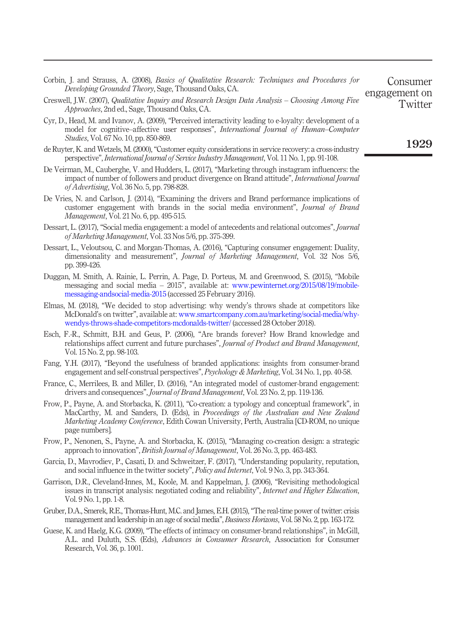<span id="page-24-18"></span><span id="page-24-15"></span><span id="page-24-12"></span><span id="page-24-8"></span><span id="page-24-6"></span><span id="page-24-2"></span>

| Developing Grounded Theory, Sage, Thousand Oaks, CA.                                                                                                                                                                                                                           | engagement on |
|--------------------------------------------------------------------------------------------------------------------------------------------------------------------------------------------------------------------------------------------------------------------------------|---------------|
| Creswell, J.W. (2007), Qualitative Inquiry and Research Design Data Analysis - Choosing Among Five<br><i>Approaches, 2nd ed., Sage, Thousand Oaks, CA.</i>                                                                                                                     | Twitter       |
| Cyr, D., Head, M. and Ivanov, A. (2009), "Perceived interactivity leading to e-loyalty: development of a<br>model for cognitive–affective user responses", International Journal of Human–Computer<br><i>Studies, Vol.</i> 67 No. 10, pp. 850-869.                             |               |
| de Ruyter, K. and Wetzels, M. (2000), "Customer equity considerations in service recovery: a cross-industry<br>perspective", <i>International Journal of Service Industry Management</i> , Vol. 11 No. 1, pp. 91-108.                                                          | 1929          |
| De Veirman, M., Cauberghe, V. and Hudders, L. (2017), "Marketing through instagram influencers: the<br>impact of number of followers and product divergence on Brand attitude", <i>International Journal</i><br><i>of Advertising</i> , Vol. 36 No. 5, pp. 798-828.            |               |
| De Vries, N. and Carlson, J. (2014), "Examining the drivers and Brand performance implications of<br>customer engagement with brands in the social media environment", <i>Journal of Brand</i><br><i>Management, Vol. 21 No. 6, pp. 495-515.</i>                               |               |
| Dessart, L. (2017), "Social media engagement: a model of antecedents and relational outcomes", <i>Journal</i><br>of Marketing Management, Vol. 33 Nos 5/6, pp. 375-399.                                                                                                        |               |
| Dessart, L., Veloutsou, C. and Morgan-Thomas, A. (2016), "Capturing consumer engagement: Duality,<br>dimensionality and measurement", Journal of Marketing Management, Vol. 32 Nos 5/6,<br>pp. 399-426.                                                                        |               |
| Duggan, M. Smith, A. Rainie, L. Perrin, A. Page, D. Porteus, M. and Greenwood, S. (2015), "Mobile<br>messaging and social media – 2015", available at: www.pewinternet.org/2015/08/19/mobile-<br>messaging-andsocial-media-2015 (accessed 25 February 2016).                   |               |
| Elmas, M. (2018), "We decided to stop advertising: why wendy's throws shade at competitors like<br>McDonald's on twitter", available at: www.smartcompany.com.au/marketing/social-media/why-<br>wendys-throws-shade-competitors-mcdonalds-twitter/ (accessed 28 October 2018). |               |
| Esch, F.-R., Schmitt, B.H. and Geus, P. (2006), "Are brands forever? How Brand knowledge and<br>relationships affect current and future purchases", <i>Journal of Product and Brand Management</i> ,<br>Vol. 15 No. 2, pp. 98-103.                                             |               |
| Fang, Y.H. (2017), "Beyond the usefulness of branded applications: insights from consumer-brand                                                                                                                                                                                |               |

Consumer

- <span id="page-24-16"></span><span id="page-24-13"></span><span id="page-24-4"></span><span id="page-24-1"></span><span id="page-24-0"></span>engagement and self-construal perspectives", Psychology & Marketing, Vol. 34 No. 1, pp. 40-58.
- <span id="page-24-3"></span>France, C., Merrilees, B. and Miller, D. (2016), "An integrated model of customer-brand engagement: drivers and consequences", Journal of Brand Management, Vol. 23 No. 2, pp. 119-136.

<span id="page-24-9"></span>Corbin, J. and Strauss, A. (2008), Basics of Qualitative Research: Techniques and Procedures for

- <span id="page-24-7"></span>Frow, P., Payne, A. and Storbacka, K. (2011), "Co-creation: a typology and conceptual framework", in MacCarthy, M. and Sanders, D. (Eds), in *Proceedings of the Australian and New Zealand* Marketing Academy Conference, Edith Cowan University, Perth, Australia [CD-ROM, no unique page numbers].
- <span id="page-24-11"></span>Frow, P., Nenonen, S., Payne, A. and Storbacka, K. (2015), "Managing co-creation design: a strategic approach to innovation", British Journal of Management, Vol. 26 No. 3, pp. 463-483.
- <span id="page-24-14"></span>Garcia, D., Mavrodiev, P., Casati, D. and Schweitzer, F. (2017), "Understanding popularity, reputation, and social influence in the twitter society", Policy and Internet, Vol. 9 No. 3, pp. 343-364.
- <span id="page-24-10"></span>Garrison, D.R., Cleveland-Innes, M., Koole, M. and Kappelman, J. (2006), "Revisiting methodological issues in transcript analysis: negotiated coding and reliability", Internet and Higher Education, Vol. 9 No. 1, pp. 1-8.
- <span id="page-24-17"></span>Gruber, D.A., Smerek, R.E., Thomas-Hunt, M.C. and James, E.H. (2015),"The real-time power of twitter: crisis management and leadership in an age of social media", Business Horizons, Vol. 58 No. 2, pp. 163-172.
- <span id="page-24-5"></span>Guese, K. and Haelg, K.G. (2009), "The effects of intimacy on consumer-brand relationships", in McGill, A.L. and Duluth, S.S. (Eds), Advances in Consumer Research, Association for Consumer Research, Vol. 36, p. 1001.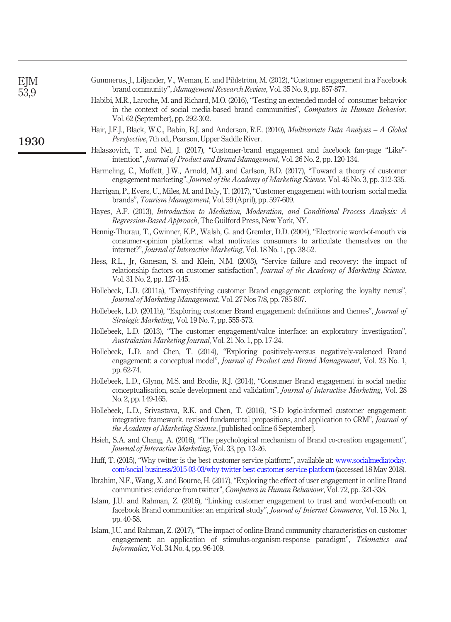<span id="page-25-19"></span><span id="page-25-18"></span><span id="page-25-17"></span><span id="page-25-16"></span><span id="page-25-15"></span><span id="page-25-14"></span><span id="page-25-13"></span><span id="page-25-12"></span><span id="page-25-11"></span><span id="page-25-10"></span><span id="page-25-9"></span><span id="page-25-8"></span><span id="page-25-7"></span><span id="page-25-6"></span><span id="page-25-5"></span><span id="page-25-4"></span><span id="page-25-3"></span><span id="page-25-2"></span><span id="page-25-1"></span><span id="page-25-0"></span>

| EJM<br>53,9 | Gummerus, J., Liljander, V., Weman, E. and Pihlström, M. (2012), "Customer engagement in a Facebook<br>brand community", Management Research Review, Vol. 35 No. 9, pp. 857-877.                                                                                       |
|-------------|------------------------------------------------------------------------------------------------------------------------------------------------------------------------------------------------------------------------------------------------------------------------|
|             | Habibi, M.R., Laroche, M. and Richard, M.O. (2016), "Testing an extended model of consumer behavior<br>in the context of social media-based brand communities", Computers in Human Behavior,<br>Vol. 62 (September), pp. 292-302.                                      |
| 1930        | Hair, J.F.J., Black, W.C., Babin, B.J. and Anderson, R.E. (2010), <i>Multivariate Data Analysis – A Global</i><br>Perspective, 7th ed., Pearson, Upper Saddle River.                                                                                                   |
|             | Halaszovich, T. and Nel, J. (2017), "Customer-brand engagement and facebook fan-page "Like"-<br>intention", <i>Journal of Product and Brand Management</i> , Vol. 26 No. 2, pp. 120-134.                                                                               |
|             | Harmeling, C., Moffett, J.W., Arnold, M.J. and Carlson, B.D. (2017), "Toward a theory of customer<br>engagement marketing", Journal of the Academy of Marketing Science, Vol. 45 No. 3, pp. 312-335.                                                                   |
|             | Harrigan, P., Evers, U., Miles, M. and Daly, T. (2017), "Customer engagement with tourism social media<br>brands", Tourism Management, Vol. 59 (April), pp. 597-609.                                                                                                   |
|             | Hayes, A.F. (2013), Introduction to Mediation, Moderation, and Conditional Process Analysis: A<br>Regression-Based Approach, The Guilford Press, New York, NY.                                                                                                         |
|             | Hennig-Thurau, T., Gwinner, K.P., Walsh, G. and Gremler, D.D. (2004), "Electronic word-of-mouth via<br>consumer-opinion platforms: what motivates consumers to articulate themselves on the<br>internet?", Journal of Interactive Marketing, Vol. 18 No. 1, pp. 38-52. |
|             | Hess, R.L., Jr, Ganesan, S. and Klein, N.M. (2003), "Service failure and recovery: the impact of<br>relationship factors on customer satisfaction", Journal of the Academy of Marketing Science,<br>Vol. 31 No. 2, pp. 127-145.                                        |
|             | Hollebeek, L.D. (2011a), "Demystifying customer Brand engagement: exploring the loyalty nexus",<br>Journal of Marketing Management, Vol. 27 Nos 7/8, pp. 785-807.                                                                                                      |
|             | Hollebeek, L.D. (2011b), "Exploring customer Brand engagement: definitions and themes", <i>Journal of</i><br>Strategic Marketing, Vol. 19 No. 7, pp. 555-573.                                                                                                          |
|             | Hollebeek, L.D. (2013), "The customer engagement/value interface: an exploratory investigation",<br>Australasian Marketing Journal, Vol. 21 No. 1, pp. 17-24.                                                                                                          |
|             | Hollebeek, L.D. and Chen, T. (2014), "Exploring positively-versus negatively-valenced Brand<br>engagement: a conceptual model", <i>Journal of Product and Brand Management</i> , Vol. 23 No. 1,<br>pp. 62-74.                                                          |
|             | Hollebeek, L.D., Glynn, M.S. and Brodie, R.J. (2014), "Consumer Brand engagement in social media:<br>conceptualisation, scale development and validation", Journal of Interactive Marketing, Vol. 28<br>No. 2, pp. 149-165.                                            |
|             | Hollebeek, L.D., Srivastava, R.K. and Chen, T. (2016), "S-D logic-informed customer engagement:<br>integrative framework, revised fundamental propositions, and application to CRM", Journal of<br>the Academy of Marketing Science, [published online 6 September].   |
|             | Hsieh, S.A. and Chang, A. (2016), "The psychological mechanism of Brand co-creation engagement",<br><i>Journal of Interactive Marketing, Vol. 33, pp. 13-26.</i>                                                                                                       |
|             | Huff, T. (2015), "Why twitter is the best customer service platform", available at: www.socialmediatoday.<br>com/social-business/2015-03-03/why-twitter-best-customer-service-platform (accessed 18 May 2018).                                                         |
|             | Ibrahim, N.F., Wang, X. and Bourne, H. (2017), "Exploring the effect of user engagement in online Brand<br>communities: evidence from twitter", Computers in Human Behaviour, Vol. 72, pp. 321-338.                                                                    |
|             | Islam, J.U. and Rahman, Z. (2016), "Linking customer engagement to trust and word-of-mouth on<br>facebook Brand communities: an empirical study", Journal of Internet Commerce, Vol. 15 No. 1,<br>pp. 40-58.                                                           |
|             | Islam, J.U. and Rahman, Z. (2017), "The impact of online Brand community characteristics on customer<br>engagement: an application of stimulus-organism-response paradigm", Telematics and<br><i>Informatics</i> , Vol. 34 No. 4, pp. 96-109.                          |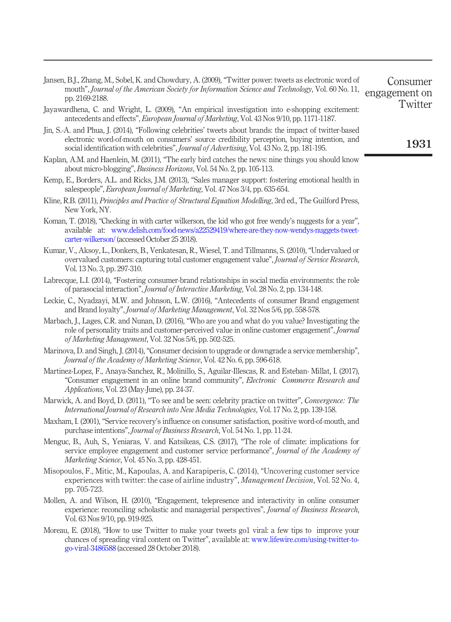<span id="page-26-17"></span>

| Jansen, B.J., Zhang, M., Sobel, K. and Chowdury, A. (2009), "Twitter power: tweets as electronic word of<br>Consumer |  |
|----------------------------------------------------------------------------------------------------------------------|--|
| mouth", Journal of the American Society for Information Science and Technology, Vol. 60 No. 11, engagement or        |  |
| $\mathbf{T}$ is $\mathbf{L}$                                                                                         |  |

- <span id="page-26-13"></span>Jayawardhena, C. and Wright, L. (2009), "An empirical investigation into e-shopping excitement: antecedents and effects", European Journal of Marketing, Vol. 43 Nos 9/10, pp. 1171-1187.
- <span id="page-26-12"></span>Jin, S.-A. and Phua, J. (2014), "Following celebrities' tweets about brands: the impact of twitter-based electronic word-of-mouth on consumers' source credibility perception, buying intention, and social identification with celebrities", *Journal of Advertising*, Vol. 43 No. 2, pp. 181-195.
- <span id="page-26-0"></span>Kaplan, A.M. and Haenlein, M. (2011), "The early bird catches the news: nine things you should know about micro-blogging", Business Horizons, Vol. 54 No. 2, pp. 105-113.
- <span id="page-26-6"></span>Kemp, E., Borders, A.L. and Ricks, J.M. (2013), "Sales manager support: fostering emotional health in salespeople", European Journal of Marketing, Vol. 47 Nos 3/4, pp. 635-654.
- <span id="page-26-16"></span>Kline, R.B. (2011), *Principles and Practice of Structural Equation Modelling*, 3rd ed., The Guilford Press, New York, NY.
- <span id="page-26-2"></span>Koman, T. (2018), "Checking in with carter wilkerson, the kid who got free wendy's nuggests for a year", available at: [www.delish.com/food-news/a22529419/where-are-they-now-wendys-nuggets-tweet](http://www.delish.com/food-news/a22529419/where-are-they-now-wendys-nuggets-tweet-carter-wilkerson/)[carter-wilkerson/](http://www.delish.com/food-news/a22529419/where-are-they-now-wendys-nuggets-tweet-carter-wilkerson/) (accessed October 25 2018).
- <span id="page-26-10"></span>Kumar, V., Aksoy, L., Donkers, B., Venkatesan, R., Wiesel, T. and Tillmanns, S. (2010), "Undervalued or overvalued customers: capturing total customer engagement value", Journal of Service Research, Vol. 13 No. 3, pp. 297-310.
- <span id="page-26-1"></span>Labrecque, L.I. (2014), "Fostering consumer-brand relationships in social media environments: the role of parasocial interaction", Journal of Interactive Marketing, Vol. 28 No. 2, pp. 134-148.
- <span id="page-26-4"></span>Leckie, C., Nyadzayi, M.W. and Johnson, L.W. (2016), "Antecedents of consumer Brand engagement and Brand loyalty", Journal of Marketing Management, Vol. 32 Nos 5/6, pp. 558-578.
- <span id="page-26-7"></span>Marbach, J., Lages, C.R. and Nunan, D. (2016), "Who are you and what do you value? Investigating the role of personality traits and customer-perceived value in online customer engagement", Journal of Marketing Management, Vol. 32 Nos 5/6, pp. 502-525.
- <span id="page-26-14"></span>Marinova, D. and Singh, J. (2014), "Consumer decision to upgrade or downgrade a service membership", Journal of the Academy of Marketing Science, Vol. 42 No. 6, pp. 596-618.
- <span id="page-26-8"></span>Martinez-Lopez, F., Anaya-Sanchez, R., Molinillo, S., Aguilar-Illescas, R. and Esteban- Millat, I. (2017), "Consumer engagement in an online brand community", Electronic Commerce Research and Applications, Vol. 23 (May-June), pp. 24-37.
- <span id="page-26-11"></span>Marwick, A. and Boyd, D. (2011), "To see and be seen: celebrity practice on twitter", Convergence: The International Journal of Research into New Media Technologies, Vol. 17 No. 2, pp. 139-158.
- <span id="page-26-9"></span>Maxham, I. (2001), "Service recovery's influence on consumer satisfaction, positive word-of-mouth, and purchase intentions", Journal of Business Research, Vol. 54 No. 1, pp. 11-24.
- <span id="page-26-15"></span>Menguc, B., Auh, S., Yeniaras, V. and Katsikeas, C.S. (2017), "The role of climate: implications for service employee engagement and customer service performance", *Journal of the Academy of* Marketing Science, Vol. 45 No. 3, pp. 428-451.
- <span id="page-26-5"></span>Misopoulos, F., Mitic, M., Kapoulas, A. and Karapiperis, C. (2014), "Uncovering customer service experiences with twitter: the case of airline industry", *Management Decision*, Vol. 52 No. 4, pp. 705-723.
- <span id="page-26-3"></span>Mollen, A. and Wilson, H. (2010), "Engagement, telepresence and interactivity in online consumer experience: reconciling scholastic and managerial perspectives", *Journal of Business Research*, Vol. 63 Nos 9/10, pp. 919-925.
- <span id="page-26-18"></span>Moreau, E. (2018), "How to use Twitter to make your tweets go1 viral: a few tips to improve your chances of spreading viral content on Twitter", available at: [www.lifewire.com/using-twitter-to](https://www.lifewire.com/using-twitter-to-go-viral-3486588)[go-viral-3486588](https://www.lifewire.com/using-twitter-to-go-viral-3486588) (accessed 28 October 2018).

1931

**Twitter**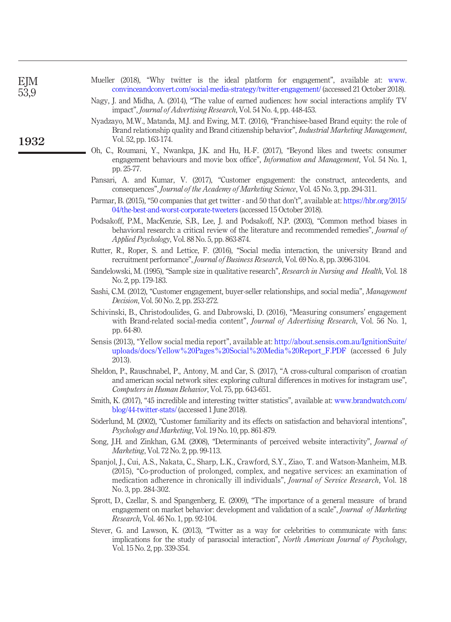<span id="page-27-18"></span><span id="page-27-17"></span><span id="page-27-16"></span><span id="page-27-15"></span><span id="page-27-14"></span><span id="page-27-13"></span><span id="page-27-12"></span><span id="page-27-11"></span><span id="page-27-10"></span><span id="page-27-9"></span><span id="page-27-8"></span><span id="page-27-7"></span><span id="page-27-6"></span><span id="page-27-5"></span><span id="page-27-4"></span><span id="page-27-3"></span><span id="page-27-2"></span><span id="page-27-1"></span><span id="page-27-0"></span>

| EJM<br>53,9 | Mueller (2018), "Why twitter is the ideal platform for engagement", available at: www.<br>convinceandconvert.com/social-media-strategy/twitter-engagement/ (accessed 21 October 2018).                                                                                                                            |
|-------------|-------------------------------------------------------------------------------------------------------------------------------------------------------------------------------------------------------------------------------------------------------------------------------------------------------------------|
|             | Nagy, J. and Midha, A. (2014), "The value of earned audiences: how social interactions amplify TV<br>impact", Journal of Advertising Research, Vol. 54 No. 4, pp. 448-453.                                                                                                                                        |
| 1932        | Nyadzayo, M.W., Matanda, M.J. and Ewing, M.T. (2016), "Franchisee-based Brand equity: the role of<br>Brand relationship quality and Brand citizenship behavior", <i>Industrial Marketing Management</i> ,<br>Vol. 52, pp. 163-174.                                                                                |
|             | Oh, C., Roumani, Y., Nwankpa, J.K. and Hu, H.-F. (2017), "Beyond likes and tweets: consumer<br>engagement behaviours and movie box office", <i>Information and Management</i> , Vol. 54 No. 1,<br>pp. 25-77.                                                                                                      |
|             | Pansari, A. and Kumar, V. (2017), "Customer engagement: the construct, antecedents, and<br>consequences", Journal of the Academy of Marketing Science, Vol. 45 No. 3, pp. 294-311.                                                                                                                                |
|             | Parmar, B. (2015), "50 companies that get twitter - and 50 that don't", available at: https://hbr.org/2015/<br>04/the-best-and-worst-corporate-tweeters (accessed 15 October 2018).                                                                                                                               |
|             | Podsakoff, P.M., MacKenzie, S.B., Lee, J. and Podsakoff, N.P. (2003), "Common method biases in<br>behavioral research: a critical review of the literature and recommended remedies", Journal of<br><i>Applied Psychology, Vol. 88 No. 5, pp. 863-874.</i>                                                        |
|             | Rutter, R., Roper, S. and Lettice, F. (2016), "Social media interaction, the university Brand and<br>recruitment performance", Journal of Business Research, Vol. 69 No. 8, pp. 3096-3104.                                                                                                                        |
|             | Sandelowski, M. (1995), "Sample size in qualitative research", Research in Nursing and Health, Vol. 18<br>No. 2, pp. 179-183.                                                                                                                                                                                     |
|             | Sashi, C.M. (2012), "Customer engagement, buyer-seller relationships, and social media", Management<br><i>Decision, Vol.</i> 50 No. 2, pp. 253-272.                                                                                                                                                               |
|             | Schivinski, B., Christodoulides, G. and Dabrowski, D. (2016), "Measuring consumers' engagement<br>with Brand-related social-media content", <i>Journal of Advertising Research</i> , Vol. 56 No. 1,<br>pp. 64-80.                                                                                                 |
|             | Sensis (2013), "Yellow social media report", available at: http://about.sensis.com.au/IgnitionSuite/<br>uploads/docs/Yellow%20Pages%20Social%20Media%20Report_F.PDF (accessed 6 July<br>2013).                                                                                                                    |
|             | Sheldon, P., Rauschnabel, P., Antony, M. and Car, S. (2017), "A cross-cultural comparison of croatian<br>and american social network sites: exploring cultural differences in motives for instagram use",<br>Computers in Human Behavior, Vol. 75, pp. 643-651.                                                   |
|             | Smith, K. (2017), "45 incredible and interesting twitter statistics", available at: www.brandwatch.com/<br>blog/44-twitter-stats/ (accessed 1 June 2018).                                                                                                                                                         |
|             | Söderlund, M. (2002), "Customer familiarity and its effects on satisfaction and behavioral intentions",<br><i>Psychology and Marketing, Vol. 19 No. 10, pp. 861-879.</i>                                                                                                                                          |
|             | Song, J.H. and Zinkhan, G.M. (2008), "Determinants of perceived website interactivity", Journal of<br><i>Marketing</i> , Vol. 72 No. 2, pp. 99-113.                                                                                                                                                               |
|             | Spanjol, J., Cui, A.S., Nakata, C., Sharp, L.K., Crawford, S.Y., Ziao, T. and Watson-Manheim, M.B.<br>(2015), "Co-production of prolonged, complex, and negative services: an examination of<br>medication adherence in chronically ill individuals", Journal of Service Research, Vol. 18<br>No. 3, pp. 284-302. |
|             | Sprott, D., Czellar, S. and Spangenberg, E. (2009), "The importance of a general measure of brand<br>engagement on market behavior: development and validation of a scale", Journal of Marketing<br><i>Research</i> , Vol. 46 No. 1, pp. 92-104.                                                                  |
|             | Stever, G. and Lawson, K. (2013), "Twitter as a way for celebrities to communicate with fans:<br>implications for the study of parasocial interaction", <i>North American Journal of Psychology</i> ,<br>Vol. 15 No. 2, pp. 339-354.                                                                              |
|             |                                                                                                                                                                                                                                                                                                                   |